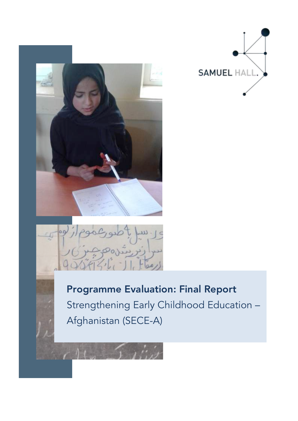





Programme Evaluation: Final Report Strengthening Early Childhood Education – Afghanistan (SECE-A)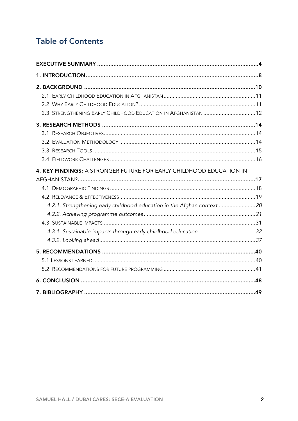# **Table of Contents**

| 2.3. STRENGTHENING EARLY CHILDHOOD EDUCATION IN AFGHANISTAN  12         |  |
|-------------------------------------------------------------------------|--|
|                                                                         |  |
| 4. KEY FINDINGS: A STRONGER FUTURE FOR EARLY CHILDHOOD EDUCATION IN     |  |
| 4.2.1. Strengthening early childhood education in the Afghan context 20 |  |
|                                                                         |  |
|                                                                         |  |
|                                                                         |  |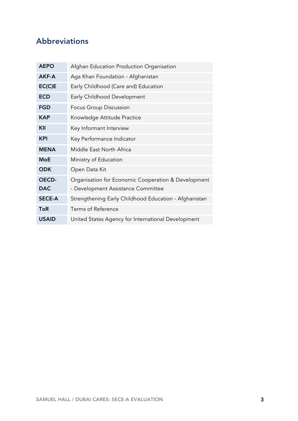# Abbreviations

| <b>AEPO</b>   | Afghan Education Production Organisation              |
|---------------|-------------------------------------------------------|
| AKF-A         | Aga Khan Foundation - Afghanistan                     |
| EC(C)E        | Early Childhood (Care and) Education                  |
| <b>ECD</b>    | Early Childhood Development                           |
| <b>FGD</b>    | Focus Group Discussion                                |
| <b>KAP</b>    | Knowledge Attitude Practice                           |
| KII           | Key Informant Interview                               |
| <b>KPI</b>    | Key Performance Indicator                             |
| <b>MENA</b>   | Middle East North Africa                              |
| <b>MoE</b>    | Ministry of Education                                 |
| <b>ODK</b>    | Open Data Kit                                         |
| <b>OECD-</b>  | Organisation for Economic Cooperation & Development   |
| <b>DAC</b>    | - Development Assistance Committee                    |
| <b>SECE-A</b> | Strengthening Early Childhood Education - Afghanistan |
| <b>ToR</b>    | Terms of Reference                                    |
| <b>USAID</b>  | United States Agency for International Development    |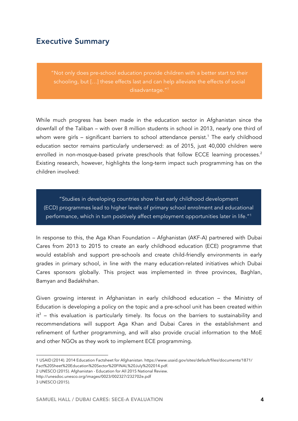# Executive Summary

"Not only does pre-school education provide children with a better start to their schooling, but […] these effects last and can help alleviate the effects of social disadvantage."1

While much progress has been made in the education sector in Afghanistan since the downfall of the Taliban – with over 8 million students in school in 2013, nearly one third of whom were girls – significant barriers to school attendance persist.<sup>1</sup> The early childhood education sector remains particularly underserved: as of 2015, just 40,000 children were enrolled in non-mosque-based private preschools that follow ECCE learning processes. 2 Existing research, however, highlights the long-term impact such programming has on the children involved:

"Studies in developing countries show that early childhood development (ECD) programmes lead to higher levels of primary school enrolment and educational performance, which in turn positively affect employment opportunities later in life."1

In response to this, the Aga Khan Foundation – Afghanistan (AKF-A) partnered with Dubai Cares from 2013 to 2015 to create an early childhood education (ECE) programme that would establish and support pre-schools and create child-friendly environments in early grades in primary school, in line with the many education-related initiatives which Dubai Cares sponsors globally. This project was implemented in three provinces, Baghlan, Bamyan and Badakhshan.

Given growing interest in Afghanistan in early childhood education – the Ministry of Education is developing a policy on the topic and a pre-school unit has been created within  $it^3$  – this evaluation is particularly timely. Its focus on the barriers to sustainability and recommendations will support Aga Khan and Dubai Cares in the establishment and refinement of further programming, and will also provide crucial information to the MoE and other NGOs as they work to implement ECE programming.

2 UNESCO (2015). Afghanistan - Education for All 2015 National Review. http://unesdoc.unesco.org/images/0023/002327/232702e.pdf 3 UNESCO (2015).

<sup>1</sup> USAID (2014). 2014 Education Factsheet for Afghanistan. https://www.usaid.gov/sites/default/files/documents/1871/ Fact%20Sheet%20Education%20Sector%20FINAL%20July%202014.pdf.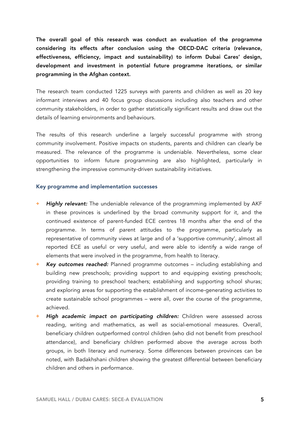The overall goal of this research was conduct an evaluation of the programme considering its effects after conclusion using the OECD-DAC criteria (relevance, effectiveness, efficiency, impact and sustainability) to inform Dubai Cares' design, development and investment in potential future programme iterations, or similar programming in the Afghan context.

The research team conducted 1225 surveys with parents and children as well as 20 key informant interviews and 40 focus group discussions including also teachers and other community stakeholders, in order to gather statistically significant results and draw out the details of learning environments and behaviours.

The results of this research underline a largely successful programme with strong community involvement. Positive impacts on students, parents and children can clearly be measured. The relevance of the programme is undeniable. Nevertheless, some clear opportunities to inform future programming are also highlighted, particularly in strengthening the impressive community-driven sustainability initiatives.

#### Key programme and implementation successes

- **+** *Highly relevant:* The undeniable relevance of the programming implemented by AKF in these provinces is underlined by the broad community support for it, and the continued existence of parent-funded ECE centres 18 months after the end of the programme. In terms of parent attitudes to the programme, particularly as representative of community views at large and of a 'supportive community', almost all reported ECE as useful or very useful, and were able to identify a wide range of elements that were involved in the programme, from health to literacy.
- **+** *Key outcomes reached:* Planned programme outcomes including establishing and building new preschools; providing support to and equipping existing preschools; providing training to preschool teachers; establishing and supporting school shuras; and exploring areas for supporting the establishment of income-generating activities to create sustainable school programmes – were all, over the course of the programme, achieved.
- **+** *High academic impact on participating children:* Children were assessed across reading, writing and mathematics, as well as social-emotional measures. Overall, beneficiary children outperformed control children (who did not benefit from preschool attendance), and beneficiary children performed above the average across both groups, in both literacy and numeracy. Some differences between provinces can be noted, with Badakhshani children showing the greatest differential between beneficiary children and others in performance.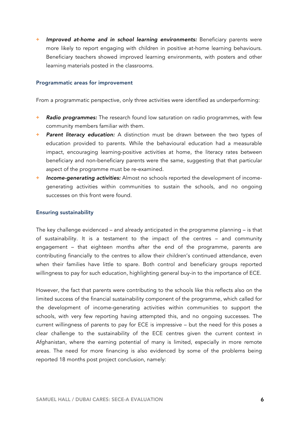**+** *Improved at-home and in school learning environments:* Beneficiary parents were more likely to report engaging with children in positive at-home learning behaviours. Beneficiary teachers showed improved learning environments, with posters and other learning materials posted in the classrooms.

#### Programmatic areas for improvement

From a programmatic perspective, only three activities were identified as underperforming:

- **+** *Radio programmes:* The research found low saturation on radio programmes, with few community members familiar with them.
- **Parent literacy education:** A distinction must be drawn between the two types of education provided to parents. While the behavioural education had a measurable impact, encouraging learning-positive activities at home, the literacy rates between beneficiary and non-beneficiary parents were the same, suggesting that that particular aspect of the programme must be re-examined.
- **+** *Income-generating activities:* Almost no schools reported the development of incomegenerating activities within communities to sustain the schools, and no ongoing successes on this front were found.

#### Ensuring sustainability

The key challenge evidenced – and already anticipated in the programme planning – is that of sustainability. It is a testament to the impact of the centres – and community engagement – that eighteen months after the end of the programme, parents are contributing financially to the centres to allow their children's continued attendance, even when their families have little to spare. Both control and beneficiary groups reported willingness to pay for such education, highlighting general buy-in to the importance of ECE.

However, the fact that parents were contributing to the schools like this reflects also on the limited success of the financial sustainability component of the programme, which called for the development of income-generating activities within communities to support the schools, with very few reporting having attempted this, and no ongoing successes. The current willingness of parents to pay for ECE is impressive – but the need for this poses a clear challenge to the sustainability of the ECE centres given the current context in Afghanistan, where the earning potential of many is limited, especially in more remote areas. The need for more financing is also evidenced by some of the problems being reported 18 months post project conclusion, namely: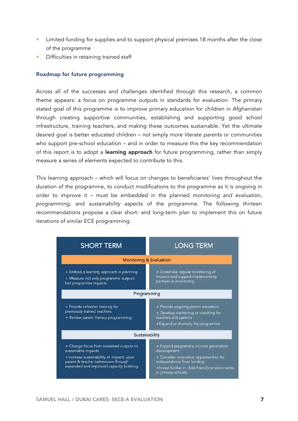- **+** Limited funding for supplies and to support physical premises 18 months after the close of the programme
- **+** Difficulties in retaining trained staff

#### Roadmap for future programming

Across all of the successes and challenges identified through this research, a common theme appears: a focus on programme outputs in standards for evaluation. The primary stated goal of this programme is to improve primary education for children in Afghanistan through creating supportive communities, establishing and supporting good school infrastructure, training teachers, and making these outcomes sustainable. Yet the ultimate desired goal is better educated children – not simply more literate parents or communities who support pre-school education – and in order to measure this the key recommendation of this report is to adopt a **learning approach** for future programming, rather than simply measure a series of elements expected to contribute to this.

This learning approach – which will focus on changes to beneficiaries' lives throughout the duration of the programme, to conduct modifications to the programme as it is ongoing in order to improve it – must be embedded in the planned *monitoring and evaluation*, *programming*, and *sustainability* aspects of the programme. The following thirteen recommendations propose a clear short- and long-term plan to implement this on future iterations of similar ECE programming.

| <b>SHORT TERM</b>                                                                                                                                                                             | <b>LONG TERM</b>                                                                                                                                                                                    |  |  |
|-----------------------------------------------------------------------------------------------------------------------------------------------------------------------------------------------|-----------------------------------------------------------------------------------------------------------------------------------------------------------------------------------------------------|--|--|
| <b>Monitoring &amp; Evaluation</b>                                                                                                                                                            |                                                                                                                                                                                                     |  |  |
| + Embed a learning approach in planning<br>+ Measure not only programme outputs<br>but programme impacts                                                                                      | + Undertake regular monitoring of<br>impacts and support implementing<br>partners in monitoring                                                                                                     |  |  |
|                                                                                                                                                                                               | Programming                                                                                                                                                                                         |  |  |
| + Provide refresher training for<br>previously trained teachers<br>+ Review parent literacy programming                                                                                       | + Provide ongoing parent education<br>+ Develop mentoring or coaching for<br>teachers and parents<br>+Expand or diversify the programme                                                             |  |  |
|                                                                                                                                                                                               | Sustainability                                                                                                                                                                                      |  |  |
| + Change focus from sustained outputs to<br>sustainable impacts<br>+Increase sustainability of impacts upon<br>parent & teacher behaviours through<br>expanded and improved capacity building | + Expand programme income generation<br>development<br>+ Consider innovative opportunities for<br>independence from funding<br>+Invest further in child-friendly environments<br>in primary schools |  |  |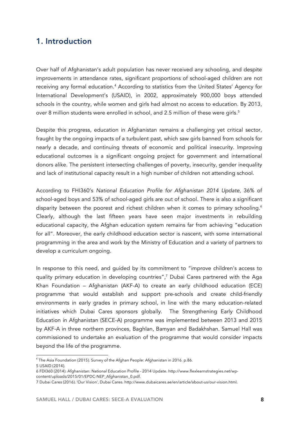# 1. Introduction

Over half of Afghanistan's adult population has never received any schooling, and despite improvements in attendance rates, significant proportions of school-aged children are not receiving any formal education.<sup>4</sup> According to statistics from the United States' Agency for International Development's (USAID), in 2002, approximately 900,000 boys attended schools in the country, while women and girls had almost no access to education. By 2013, over 8 million students were enrolled in school, and 2.5 million of these were girls.<sup>5</sup>

Despite this progress, education in Afghanistan remains a challenging yet critical sector, fraught by the ongoing impacts of a turbulent past, which saw girls banned from schools for nearly a decade, and continuing threats of economic and political insecurity. Improving educational outcomes is a significant ongoing project for government and international donors alike. The persistent intersecting challenges of poverty, insecurity, gender inequality and lack of institutional capacity result in a high number of children not attending school.

According to FHI360's *National Education Profile for Afghanistan 2014 Update*, 36% of school-aged boys and 53% of school-aged girls are out of school. There is also a significant disparity between the poorest and richest children when it comes to primary schooling.<sup>6</sup> Clearly, although the last fifteen years have seen major investments in rebuilding educational capacity, the Afghan education system remains far from achieving "education for all". Moreover, the early childhood education sector is nascent, with some international programming in the area and work by the Ministry of Education and a variety of partners to develop a curriculum ongoing.

In response to this need, and guided by its commitment to "improve children's access to quality primary education in developing countries", 7 Dubai Cares partnered with the Aga Khan Foundation – Afghanistan (AKF-A) to create an early childhood education (ECE) programme that would establish and support pre-schools and create child-friendly environments in early grades in primary school, in line with the many education-related initiatives which Dubai Cares sponsors globally. The Strengthening Early Childhood Education in Afghanistan (SECE-A) programme was implemented between 2013 and 2015 by AKF-A in three northern provinces, Baghlan, Bamyan and Badakhshan. Samuel Hall was commissioned to undertake an evaluation of the programme that would consider impacts beyond the life of the programme.

<sup>&</sup>lt;sup>4</sup> The Asia Foundation (2015). Survey of the Afghan People: Afghanistan in 2016. p.86.

<sup>5</sup> USAID (2014).

<sup>6</sup> FDI360 (2014). Afghanistan: National Education Profile - 2014 Update. http://www.flexlearnstrategies.net/wpcontent/uploads/2015/01/EPDC-NEP\_Afghanistan\_0.pdf.

<sup>7</sup> Dubai Cares (2016). 'Our Vision', Dubai Cares. http://www.dubaicares.ae/en/article/about-us/our-vision.html.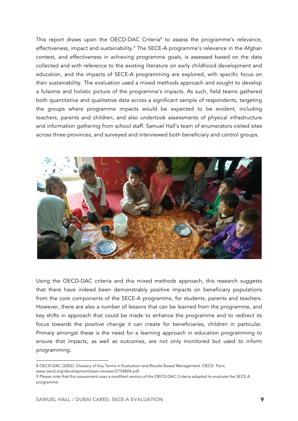This report draws upon the OECD-DAC Criteria<sup>8</sup> to assess the programme's relevance, effectiveness, impact and sustainability. 9 The SECE-A programme's relevance in the Afghan context, and effectiveness in achieving programme goals, is assessed based on the data collected and with reference to the existing literature on early childhood development and education, and the impacts of SECE-A programming are explored, with specific focus on their sustainability. The evaluation used a mixed methods approach and sought to develop a fulsome and holistic picture of the programme's impacts. As such, field teams gathered both quantitative and qualitative data across a significant sample of respondents, targeting the groups where programme impacts would be expected to be evident, including teachers, parents and children, and also undertook assessments of physical infrastructure and information gathering from school staff. Samuel Hall's team of enumerators visited sites across three provinces, and surveyed and interviewed both beneficiary and control groups.



Using the OECD-DAC criteria and this mixed methods approach, this research suggests that there have indeed been demonstrably positive impacts on beneficiary populations from the core components of the SECE-A programme, for students, parents and teachers. However, there are also a number of lessons that can be learned from the programme, and key shifts in approach that could be made to enhance the programme and to redirect its focus towards the positive change it can create for beneficiaries, children in particular. Primary amongst these is the need for a learning approach in education programming to ensure that impacts, as well as outcomes, are not only monitored but used to inform programming.

 $\overline{a}$ 

<sup>8</sup> OECD-DAC (2002). Glossary of Key Terms in Evaluation and Results Based Management. OECD: Paris. www.oecd.org/development/peer-reviews/2754804.pdf.

<sup>9</sup> Please note that this assessment uses a modified version of the OECD-DAC Criteria adapted to evaluate the SECE-A programme.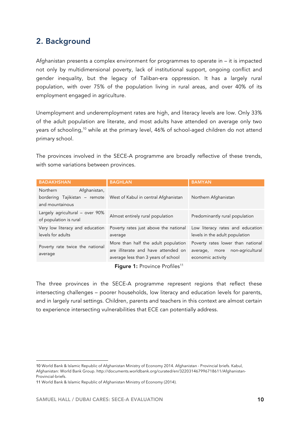# 2. Background

Afghanistan presents a complex environment for programmes to operate in – it is impacted not only by multidimensional poverty, lack of institutional support, ongoing conflict and gender inequality, but the legacy of Taliban-era oppression. It has a largely rural population, with over 75% of the population living in rural areas, and over 40% of its employment engaged in agriculture.

Unemployment and underemployment rates are high, and literacy levels are low. Only 33% of the adult population are literate, and most adults have attended on average only two years of schooling,<sup>10</sup> while at the primary level, 46% of school-aged children do not attend primary school.

The provinces involved in the SECE-A programme are broadly reflective of these trends, with some variations between provinces.

| <b>BADAKHSHAN</b>                                                                   | <b>BAGHLAN</b>                                                                                                    | <b>BAMYAN</b>                                                                            |
|-------------------------------------------------------------------------------------|-------------------------------------------------------------------------------------------------------------------|------------------------------------------------------------------------------------------|
| <b>Northern</b><br>Afghanistan,<br>bordering Tajikistan – remote<br>and mountainous | West of Kabul in central Afghanistan                                                                              | Northern Afghanistan                                                                     |
| Largely agricultural - over 90%<br>of population is rural                           | Almost entirely rural population                                                                                  | Predominantly rural population                                                           |
| Very low literacy and education<br>levels for adults                                | Poverty rates just above the national<br>average                                                                  | Low literacy rates and education<br>levels in the adult population                       |
| Poverty rate twice the national<br>average                                          | More than half the adult population<br>are illiterate and have attended on<br>average less than 3 years of school | Poverty rates lower than national<br>average, more non-agricultural<br>economic activity |

Figure 1: Province Profiles<sup>11</sup>

The three provinces in the SECE-A programme represent regions that reflect these intersecting challenges – poorer households, low literacy and education levels for parents, and in largely rural settings. Children, parents and teachers in this context are almost certain to experience intersecting vulnerabilities that ECE can potentially address.

 <sup>10</sup> World Bank & Islamic Republic of Afghanistan Ministry of Economy 2014. Afghanistan - Provincial briefs. Kabul, Afghanistan: World Bank Group. http://documents.worldbank.org/curated/en/322031467996718611/Afghanistan-Provincial-briefs.

<sup>11</sup> World Bank & Islamic Republic of Afghanistan Ministry of Economy (2014).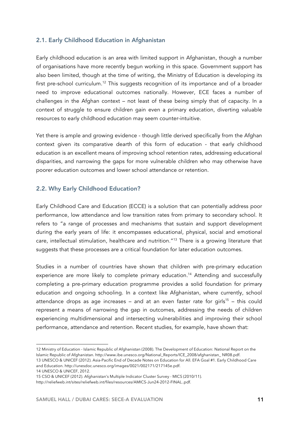# 2.1. Early Childhood Education in Afghanistan

Early childhood education is an area with limited support in Afghanistan, though a number of organisations have more recently begun working in this space. Government support has also been limited, though at the time of writing, the Ministry of Education is developing its first pre-school curriculum.<sup>12</sup> This suggests recognition of its importance and of a broader need to improve educational outcomes nationally. However, ECE faces a number of challenges in the Afghan context – not least of these being simply that of capacity. In a context of struggle to ensure children gain even a primary education, diverting valuable resources to early childhood education may seem counter-intuitive.

Yet there is ample and growing evidence - though little derived specifically from the Afghan context given its comparative dearth of this form of education - that early childhood education is an excellent means of improving school retention rates, addressing educational disparities, and narrowing the gaps for more vulnerable children who may otherwise have poorer education outcomes and lower school attendance or retention.

# 2.2. Why Early Childhood Education?

Early Childhood Care and Education (ECCE) is a solution that can potentially address poor performance, low attendance and low transition rates from primary to secondary school. It refers to "a range of processes and mechanisms that sustain and support development during the early years of life: it encompasses educational, physical, social and emotional care, intellectual stimulation, healthcare and nutrition."13 There is a growing literature that suggests that these processes are a critical foundation for later education outcomes.

Studies in a number of countries have shown that children with pre-primary education experience are more likely to complete primary education.<sup>14</sup> Attending and successfully completing a pre-primary education programme provides a solid foundation for primary education and ongoing schooling. In a context like Afghanistan, where currently, school attendance drops as age increases – and at an even faster rate for girls<sup>15</sup> – this could represent a means of narrowing the gap in outcomes, addressing the needs of children experiencing multidimensional and intersecting vulnerabilities and improving their school performance, attendance and retention. Recent studies, for example, have shown that:

 $\overline{a}$ 12 Ministry of Education - Islamic Republic of Afghanistan (2008). The Development of Education: National Report on the Islamic Republic of Afghanistan. http://www.ibe.unesco.org/National\_Reports/ICE\_2008/afghanistan\_ NR08.pdf.

<sup>13</sup> UNESCO & UNICEF (2012). Asia-Pacific End of Decade Notes on Education for All. EFA Goal #1. Early Childhood Care and Education. http://unesdoc.unesco.org/images/0021/002171/217145e.pdf.

<sup>14</sup> UNESCO & UNICEF, 2012.

<sup>15</sup> CSO & UNICEF (2012). Afghanistan's Multiple Indicator Cluster Survey - MICS (2010/11).

http://reliefweb.int/sites/reliefweb.int/files/resources/AMICS-Jun24-2012-FINAL..pdf.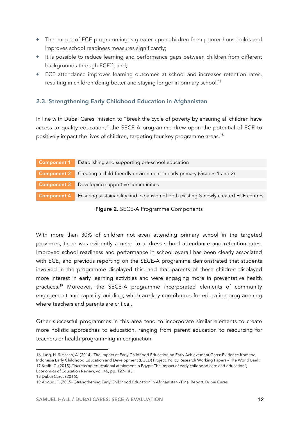- **+** The impact of ECE programming is greater upon children from poorer households and improves school readiness measures significantly;
- **+** It is possible to reduce learning and performance gaps between children from different backgrounds through ECE<sup>16</sup>, and;
- **+** ECE attendance improves learning outcomes at school and increases retention rates, resulting in children doing better and staying longer in primary school.<sup>17</sup>

# 2.3. Strengthening Early Childhood Education in Afghanistan

In line with Dubai Cares' mission to "break the cycle of poverty by ensuring all children have access to quality education," the SECE-A programme drew upon the potential of ECE to positively impact the lives of children, targeting four key programme areas.<sup>18</sup>

| <b>Component 1</b> Establishing and supporting pre-school education                                   |
|-------------------------------------------------------------------------------------------------------|
| Component 2 Creating a child-friendly environment in early primary (Grades 1 and 2)                   |
| Component 3 Developing supportive communities                                                         |
| <b>Component 4</b> Ensuring sustainability and expansion of both existing & newly created ECE centres |

Figure 2. SECE-A Programme Components

With more than 30% of children not even attending primary school in the targeted provinces, there was evidently a need to address school attendance and retention rates. Improved school readiness and performance in school overall has been clearly associated with ECE, and previous reporting on the SECE-A programme demonstrated that students involved in the programme displayed this, and that parents of these children displayed more interest in early learning activities and were engaging more in preventative health practices.19 Moreover, the SECE-A programme incorporated elements of community engagement and capacity building, which are key contributors for education programming where teachers and parents are critical.

Other successful programmes in this area tend to incorporate similar elements to create more holistic approaches to education, ranging from parent education to resourcing for teachers or health programming in conjunction.

<sup>16</sup> Jung, H. & Hasan, A. (2014). The Impact of Early Childhood Education on Early Achievement Gaps: Evidence from the Indonesia Early Childhood Education and Development (ECED) Project. Policy Research Working Papers – The World Bank. 17 Krafft, C. (2015). "Increasing educational attainment in Egypt: The impact of early childhood care and education", Economics of Education Review, vol. 46, pp. 127-143.

<sup>18</sup> Dubai Cares (2016).

<sup>19</sup> Aboud, F. (2015). Strengthening Early Childhood Education in Afghanistan - Final Report. Dubai Cares.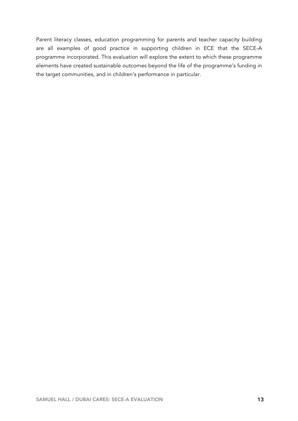Parent literacy classes, education programming for parents and teacher capacity building are all examples of good practice in supporting children in ECE that the SECE-A programme incorporated. This evaluation will explore the extent to which these programme elements have created sustainable outcomes beyond the life of the programme's funding in the target communities, and in children's performance in particular.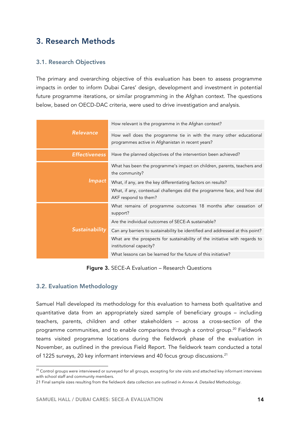# 3. Research Methods

# 3.1. Research Objectives

The primary and overarching objective of this evaluation has been to assess programme impacts in order to inform Dubai Cares' design, development and investment in potential future programme iterations, or similar programming in the Afghan context. The questions below, based on OECD-DAC criteria, were used to drive investigation and analysis.

|                      | How relevant is the programme in the Afghan context?                                                                    |  |  |
|----------------------|-------------------------------------------------------------------------------------------------------------------------|--|--|
| Relevance            | How well does the programme tie in with the many other educational<br>programmes active in Afghanistan in recent years? |  |  |
| <b>Effectiveness</b> | Have the planned objectives of the intervention been achieved?                                                          |  |  |
|                      | What has been the programme's impact on children, parents, teachers and<br>the community?                               |  |  |
| Impact               | What, if any, are the key differentiating factors on results?                                                           |  |  |
|                      | What, if any, contextual challenges did the programme face, and how did<br>AKF respond to them?                         |  |  |
|                      | What remains of programme outcomes 18 months after cessation of<br>support?                                             |  |  |
|                      | Are the individual outcomes of SECE-A sustainable?                                                                      |  |  |
| Sustainability       | Can any barriers to sustainability be identified and addressed at this point?                                           |  |  |
|                      | What are the prospects for sustainability of the initiative with regards to<br>institutional capacity?                  |  |  |
|                      | What lessons can be learned for the future of this initiative?                                                          |  |  |

Figure 3. SECE-A Evaluation – Research Questions

## 3.2. Evaluation Methodology

Samuel Hall developed its methodology for this evaluation to harness both qualitative and quantitative data from an appropriately sized sample of beneficiary groups – including teachers, parents, children and other stakeholders – across a cross-section of the programme communities, and to enable comparisons through a control group.<sup>20</sup> Fieldwork teams visited programme locations during the fieldwork phase of the evaluation in November, as outlined in the previous Field Report. The fieldwork team conducted a total of 1225 surveys, 20 key informant interviews and 40 focus group discussions.<sup>21</sup>

 $^{\rm 20}$  Control groups were interviewed or surveyed for all groups, excepting for site visits and attached key informant interviews with school staff and community members.

<sup>21</sup> Final sample sizes resulting from the fieldwork data collection are outlined in *Annex A. Detailed Methodology*.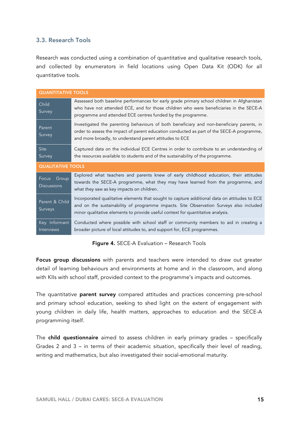# 3.3. Research Tools

Research was conducted using a combination of quantitative and qualitative research tools, and collected by enumerators in field locations using Open Data Kit (ODK) for all quantitative tools.

| <b>QUANTITATIVE TOOLS</b>            |                                                                                                                                                                                                                                                                           |  |  |
|--------------------------------------|---------------------------------------------------------------------------------------------------------------------------------------------------------------------------------------------------------------------------------------------------------------------------|--|--|
| Child<br>Survey                      | Assessed both baseline performances for early grade primary school children in Afghanistan<br>who have not attended ECE, and for those children who were beneficiaries in the SECE-A<br>programme and attended ECE centres funded by the programme.                       |  |  |
| Parent<br>Survey                     | Investigated the parenting behaviours of both beneficiary and non-beneficiary parents, in<br>order to assess the impact of parent education conducted as part of the SECE-A programme,<br>and more broadly, to understand parent attitudes to ECE                         |  |  |
| <b>Site</b><br>Survey                | Captured data on the individual ECE Centres in order to contribute to an understanding of<br>the resources available to students and of the sustainability of the programme.                                                                                              |  |  |
| <b>QUALITATIVE TOOLS</b>             |                                                                                                                                                                                                                                                                           |  |  |
|                                      |                                                                                                                                                                                                                                                                           |  |  |
| Focus<br>Group<br><b>Discussions</b> | Explored what teachers and parents knew of early childhood education, their attitudes<br>towards the SECE-A programme, what they may have learned from the programme, and<br>what they saw as key impacts on children.                                                    |  |  |
| Parent & Child<br>Surveys            | Incorporated qualitative elements that sought to capture additional data on attitudes to ECE<br>and on the sustainability of programme impacts. Site Observation Surveys also included<br>minor qualitative elements to provide useful context for quantitative analysis. |  |  |

#### Figure 4. SECE-A Evaluation – Research Tools

Focus group discussions with parents and teachers were intended to draw out greater detail of learning behaviours and environments at home and in the classroom, and along with KIIs with school staff, provided context to the programme's impacts and outcomes.

The quantitative **parent survey** compared attitudes and practices concerning pre-school and primary school education, seeking to shed light on the extent of engagement with young children in daily life, health matters, approaches to education and the SECE-A programming itself.

The child questionnaire aimed to assess children in early primary grades - specifically Grades 2 and 3 – in terms of their academic situation, specifically their level of reading, writing and mathematics, but also investigated their social-emotional maturity.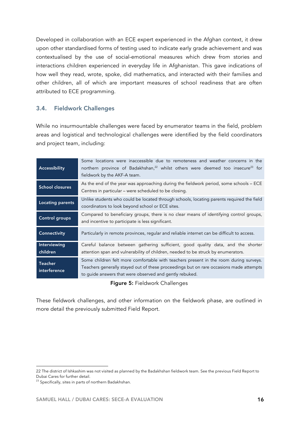Developed in collaboration with an ECE expert experienced in the Afghan context, it drew upon other standardised forms of testing used to indicate early grade achievement and was contextualised by the use of social-emotional measures which drew from stories and interactions children experienced in everyday life in Afghanistan. This gave indications of how well they read, wrote, spoke, did mathematics, and interacted with their families and other children, all of which are important measures of school readiness that are often attributed to ECE programming.

# 3.4. Fieldwork Challenges

While no insurmountable challenges were faced by enumerator teams in the field, problem areas and logistical and technological challenges were identified by the field coordinators and project team, including:

| Accessibility                  | Some locations were inaccessible due to remoteness and weather concerns in the<br>northern province of Badakhshan, <sup>22</sup> whilst others were deemed too insecure <sup>23</sup> for<br>fieldwork by the AKF-A team.                  |  |  |
|--------------------------------|--------------------------------------------------------------------------------------------------------------------------------------------------------------------------------------------------------------------------------------------|--|--|
| <b>School closures</b>         | As the end of the year was approaching during the fieldwork period, some schools - ECE<br>Centres in particular - were scheduled to be closing.                                                                                            |  |  |
| <b>Locating parents</b>        | Unlike students who could be located through schools, locating parents required the field<br>coordinators to look beyond school or ECE sites.                                                                                              |  |  |
| Control groups                 | Compared to beneficiary groups, there is no clear means of identifying control groups,<br>and incentive to participate is less significant.                                                                                                |  |  |
| Connectivity                   | Particularly in remote provinces, regular and reliable internet can be difficult to access.                                                                                                                                                |  |  |
| Interviewing<br>children       | Careful balance between gathering sufficient, good quality data, and the shorter<br>attention span and vulnerability of children, needed to be struck by enumerators.                                                                      |  |  |
| <b>Teacher</b><br>interference | Some children felt more comfortable with teachers present in the room during surveys.<br>Teachers generally stayed out of these proceedings but on rare occasions made attempts<br>to guide answers that were observed and gently rebuked. |  |  |

Figure 5: Fieldwork Challenges

These fieldwork challenges, and other information on the fieldwork phase, are outlined in more detail the previously submitted Field Report.

<sup>22</sup> The district of Ishkashim was not visited as planned by the Badakhshan fieldwork team. See the previous Field Report to Dubai Cares for further detail.

<sup>&</sup>lt;sup>23</sup> Specifically, sites in parts of northern Badakhshan.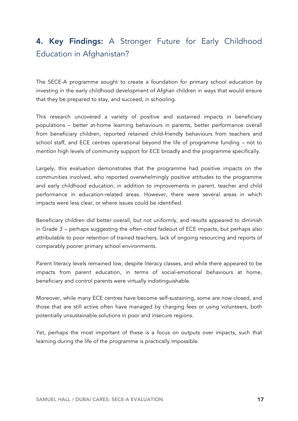# 4. Key Findings: A Stronger Future for Early Childhood Education in Afghanistan?

The SECE-A programme sought to create a foundation for primary school education by investing in the early childhood development of Afghan children in ways that would ensure that they be prepared to stay, and succeed, in schooling.

This research uncovered a variety of positive and sustained impacts in beneficiary populations – better at-home learning behaviours in parents, better performance overall from beneficiary children, reported retained child-friendly behaviours from teachers and school staff, and ECE centres operational beyond the life of programme funding – not to mention high levels of community support for ECE broadly and the programme specifically.

Largely, this evaluation demonstrates that the programme had positive impacts on the communities involved, who reported overwhelmingly positive attitudes to the programme and early childhood education, in addition to improvements in parent, teacher and child performance in education-related areas. However, there were several areas in which impacts were less clear, or where issues could be identified.

Beneficiary children did better overall, but not uniformly, and results appeared to diminish in Grade 3 – perhaps suggesting the often-cited fadeout of ECE impacts, but perhaps also attributable to poor retention of trained teachers, lack of ongoing resourcing and reports of comparably poorer primary school environments.

Parent literacy levels remained low, despite literacy classes, and while there appeared to be impacts from parent education, in terms of social-emotional behaviours at home, beneficiary and control parents were virtually indistinguishable.

Moreover, while many ECE centres have become self-sustaining, some are now closed, and those that are still active often have managed by charging fees or using volunteers, both potentially unsustainable solutions in poor and insecure regions.

Yet, perhaps the most important of these is a focus on outputs over impacts, such that learning during the life of the programme is practically impossible.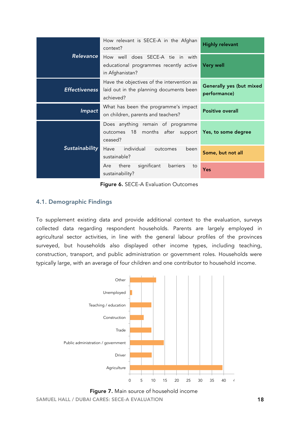|                      | How relevant is SECE-A in the Afghan<br>context?                                                               | <b>Highly relevant</b>                   |
|----------------------|----------------------------------------------------------------------------------------------------------------|------------------------------------------|
| <b>Relevance</b>     | How well does SECE-A tie in with<br>educational programmes recently active<br>in Afghanistan?                  | <b>Very well</b>                         |
| <b>Effectiveness</b> | Have the objectives of the intervention as<br>laid out in the planning documents been<br>achieved?             | Generally yes (but mixed<br>performance) |
| Impact               | What has been the programme's impact<br>on children, parents and teachers?                                     | <b>Positive overall</b>                  |
|                      | Does anything remain of programme<br>outcomes 18<br>months after support <b>Yes, to some degree</b><br>ceased? |                                          |
| Sustainability       | individual<br>Have<br>been<br>outcomes<br>sustainable?                                                         | Some, but not all                        |
|                      | significant<br>barriers<br>there<br>Are<br>to<br>sustainability?                                               | <b>Yes</b>                               |

Figure 6. SECE-A Evaluation Outcomes

# 4.1. Demographic Findings

To supplement existing data and provide additional context to the evaluation, surveys collected data regarding respondent households. Parents are largely employed in agricultural sector activities, in line with the general labour profiles of the provinces surveyed, but households also displayed other income types, including teaching, construction, transport, and public administration or government roles. Households were typically large, with an average of four children and one contributor to household income.<br>'



Figure 7. Main source of household income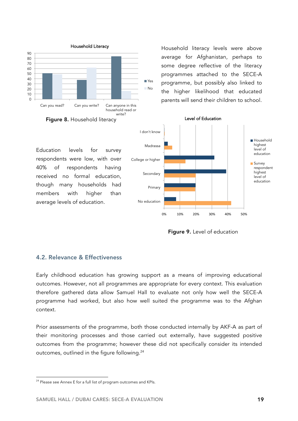

Household literacy levels were above average for Afghanistan, perhaps to some degree reflective of the literacy programmes attached to the SECE-A programme, but possibly also linked to the higher likelihood that educated parents will send their children to school.

Education levels for survey respondents were low, with over 40% of respondents having received no formal education, though many households had members with higher than average levels of education.



Level of Education

Figure 9. Level of education

### 4.2. Relevance & Effectiveness

Early childhood education has growing support as a means of improving educational outcomes. However, not all programmes are appropriate for every context. This evaluation therefore gathered data allow Samuel Hall to evaluate not only how well the SECE-A programme had worked, but also how well suited the programme was to the Afghan context.

Prior assessments of the programme, both those conducted internally by AKF-A as part of their monitoring processes and those carried out externally, have suggested positive outcomes from the programme; however these did not specifically consider its intended outcomes, outlined in the figure following.<sup>24</sup>

<sup>24</sup> Please see Annex E for a full list of program outcomes and KPIs.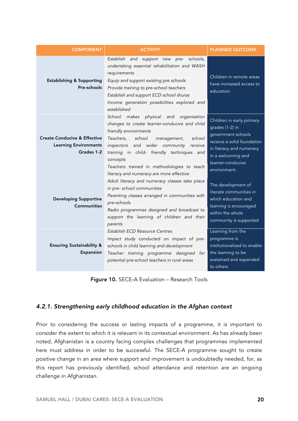| <b>COMPONENT</b>                                                                      | <b>ACTIVITY</b>                                                                                                                                                                                                                                                                                                                                                         | <b>PLANNED OUTCOME</b>                                                                                                                                                                  |
|---------------------------------------------------------------------------------------|-------------------------------------------------------------------------------------------------------------------------------------------------------------------------------------------------------------------------------------------------------------------------------------------------------------------------------------------------------------------------|-----------------------------------------------------------------------------------------------------------------------------------------------------------------------------------------|
| <b>Establishing &amp; Supporting</b><br>Pre-schools                                   | Establish<br>and support new pre-<br>schools,<br>undertaking essential rehabilitation and WASH<br>requirements<br>Equip and support existing pre schools<br>Provide training to pre-school teachers<br>Establish and support ECD school shuras<br>Income generation possibilities explored and<br>established                                                           | Children in remote areas<br>have increased access to<br>education                                                                                                                       |
| <b>Create Conducive &amp; Effective</b><br><b>Learning Environments</b><br>Grades 1-2 | School makes physical<br>and<br>organisation<br>changes to create learner-conducive and child<br>friendly environments<br>Teachers,<br>school<br>school<br>management,<br>and wider community receive<br>inspectors<br>training in child- friendly techniques and<br>concepts<br>Teachers trained in methodologies to teach<br>literacy and numeracy are more effective | Children in early primary<br>grades (1-2) in<br>government schools<br>receive a solid foundation<br>in literacy and numeracy<br>in a welcoming and<br>learner-conducive<br>environment. |
| <b>Developing Supportive</b><br><b>Communities</b>                                    | Adult literacy and numeracy classes take place<br>in pre- school communities<br>Parenting classes arranged in communities with<br>pre-schools<br>Radio programmes designed and broadcast to<br>support the learning of children and their<br>parents                                                                                                                    | The development of<br>literate communities in<br>which education and<br>learning is encouraged<br>within the whole<br>community is supported                                            |
| <b>Ensuring Sustainability &amp;</b><br>Expansion                                     | Establish ECD Resource Centres<br>Impact study conducted on impact of pre-<br>schools in child learning and development<br>Teacher training programme designed for<br>potential pre-school teachers in rural areas                                                                                                                                                      | Learning from the<br>programme is<br>institutionalized to enable<br>the learning to be<br>sustained and expanded<br>to others                                                           |

Figure 10. SECE-A Evaluation – Research Tools

# *4.2.1. Strengthening early childhood education in the Afghan context*

Prior to considering the success or lasting impacts of a programme, it is important to consider the extent to which it is relevant in its contextual environment. As has already been noted, Afghanistan is a country facing complex challenges that programmes implemented here must address in order to be successful. The SECE-A programme sought to create positive change in an area where support and improvement is undoubtedly needed, for, as this report has previously identified, school attendance and retention are an ongoing challenge in Afghanistan.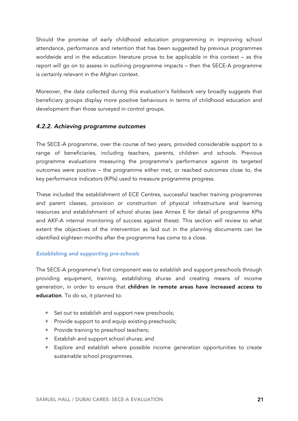Should the promise of early childhood education programming in improving school attendance, performance and retention that has been suggested by previous programmes worldwide and in the education literature prove to be applicable in this context – as this report will go on to assess in outlining programme impacts – then the SECE-A programme is certainly relevant in the Afghan context.

Moreover, the data collected during this evaluation's fieldwork very broadly suggests that beneficiary groups display more positive behaviours in terms of childhood education and development than those surveyed in control groups.

## *4.2.2. Achieving programme outcomes*

The SECE-A programme, over the course of two years, provided considerable support to a range of beneficiaries, including teachers, parents, children and schools. Previous programme evaluations measuring the programme's performance against its targeted outcomes were positive – the programme either met, or reached outcomes close to, the key performance indicators (KPIs) used to measure programme progress.

These included the establishment of ECE Centres, successful teacher training programmes and parent classes, provision or construction of physical infrastructure and learning resources and establishment of school shuras (see Annex E for detail of programme KPIs and AKF-A internal monitoring of success against these). This section will review to what extent the objectives of the intervention as laid out in the planning documents can be identified eighteen months after the programme has come to a close.

### *Establishing and supporting pre-schools*

The SECE-A programme's first component was to establish and support preschools through providing equipment, training, establishing shuras and creating means of income generation, in order to ensure that children in remote areas have increased access to education. To do so, it planned to:

- **+** Set out to establish and support new preschools;
- **+** Provide support to and equip existing preschools;
- **+** Provide training to preschool teachers;
- **+** Establish and support school shuras; and
- **+** Explore and establish where possible income generation opportunities to create sustainable school programmes.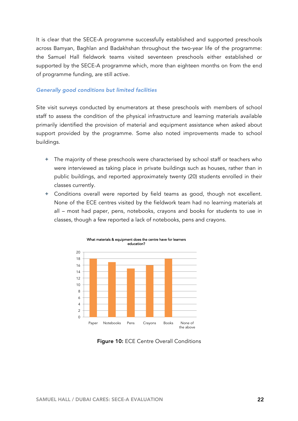It is clear that the SECE-A programme successfully established and supported preschools across Bamyan, Baghlan and Badakhshan throughout the two-year life of the programme: the Samuel Hall fieldwork teams visited seventeen preschools either established or supported by the SECE-A programme which, more than eighteen months on from the end of programme funding, are still active.

#### *Generally good conditions but limited facilities*

Site visit surveys conducted by enumerators at these preschools with members of school staff to assess the condition of the physical infrastructure and learning materials available primarily identified the provision of material and equipment assistance when asked about support provided by the programme. Some also noted improvements made to school buildings.

- **+** The majority of these preschools were characterised by school staff or teachers who were interviewed as taking place in private buildings such as houses, rather than in public buildings, and reported approximately twenty (20) students enrolled in their classes currently.
- **+** Conditions overall were reported by field teams as good, though not excellent. None of the ECE centres visited by the fieldwork team had no learning materials at all – most had paper, pens, notebooks, crayons and books for students to use in classes, though a few reported a lack of notebooks, pens and crayons.



Figure 10: ECE Centre Overall Conditions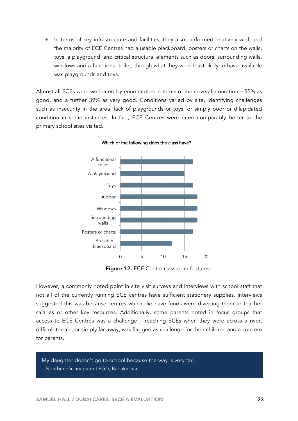**+** In terms of key infrastructure and facilities, they also performed relatively well, and the majority of ECE Centres had a usable blackboard, posters or charts on the walls, toys, a playground, and critical structural elements such as doors, surrounding walls, windows and a functional toilet, though what they were least likely to have available was playgrounds and toys.

Almost all ECEs were well rated by enumerators in terms of their overall condition – 55% as good, and a further 39% as very good. Conditions varied by site, identifying challenges such as insecurity in the area, lack of playgrounds or toys, or simply poor or dilapidated condition in some instances. In fact, ECE Centres were rated comparably better to the primary school sites visited.



Which of the following does the class have?

Figure 12. ECE Centre classroom features

However, a commonly noted point in site visit surveys and interviews with school staff that not all of the currently running ECE centres have sufficient stationery supplies. Interviews suggested this was because centres which did have funds were diverting them to teacher salaries or other key resources. Additionally, some parents noted in focus groups that access to ECE Centres was a challenge – reaching ECEs when they were across a river, difficult terrain, or simply far away, was flagged as challenge for their children and a concern for parents.

My daughter doesn't go to school because the way is very far. – Non-beneficiary parent FGD, Badakhshan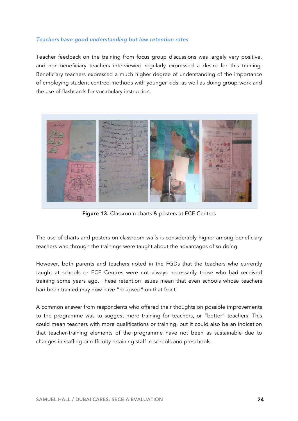### *Teachers have good understanding but low retention rates*

Teacher feedback on the training from focus group discussions was largely very positive, and non-beneficiary teachers interviewed regularly expressed a desire for this training. Beneficiary teachers expressed a much higher degree of understanding of the importance of employing student-centred methods with younger kids, as well as doing group-work and the use of flashcards for vocabulary instruction.



Figure 13. Classroom charts & posters at ECE Centres

The use of charts and posters on classroom walls is considerably higher among beneficiary teachers who through the trainings were taught about the advantages of so doing.

However, both parents and teachers noted in the FGDs that the teachers who currently taught at schools or ECE Centres were not always necessarily those who had received training some years ago. These retention issues mean that even schools whose teachers had been trained may now have "relapsed" on that front.

A common answer from respondents who offered their thoughts on possible improvements to the programme was to suggest more training for teachers, or "better" teachers. This could mean teachers with more qualifications or training, but it could also be an indication that teacher-training elements of the programme have not been as sustainable due to changes in staffing or difficulty retaining staff in schools and preschools.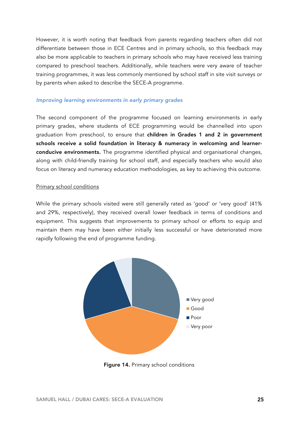However, it is worth noting that feedback from parents regarding teachers often did not differentiate between those in ECE Centres and in primary schools, so this feedback may also be more applicable to teachers in primary schools who may have received less training compared to preschool teachers. Additionally, while teachers were very aware of teacher training programmes, it was less commonly mentioned by school staff in site visit surveys or by parents when asked to describe the SECE-A programme.

### *Improving learning environments in early primary grades*

The second component of the programme focused on learning environments in early primary grades, where students of ECE programming would be channelled into upon graduation from preschool, to ensure that children in Grades 1 and 2 in government schools receive a solid foundation in literacy & numeracy in welcoming and learnerconducive environments. The programme identified physical and organisational changes, along with child-friendly training for school staff, and especially teachers who would also focus on literacy and numeracy education methodologies, as key to achieving this outcome.

#### Primary school conditions

While the primary schools visited were still generally rated as 'good' or 'very good' (41% and 29%, respectively), they received overall lower feedback in terms of conditions and equipment. This suggests that improvements to primary school or efforts to equip and maintain them may have been either initially less successful or have deteriorated more rapidly following the end of programme funding.



Figure 14. Primary school conditions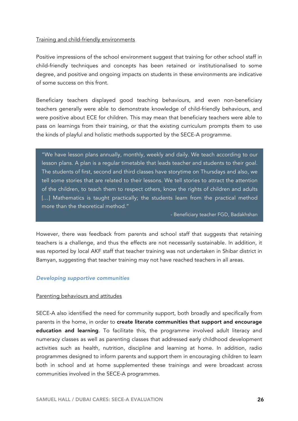#### Training and child-friendly environments

Positive impressions of the school environment suggest that training for other school staff in child-friendly techniques and concepts has been retained or institutionalised to some degree, and positive and ongoing impacts on students in these environments are indicative of some success on this front.

Beneficiary teachers displayed good teaching behaviours, and even non-beneficiary teachers generally were able to demonstrate knowledge of child-friendly behaviours, and were positive about ECE for children. This may mean that beneficiary teachers were able to pass on learnings from their training, or that the existing curriculum prompts them to use the kinds of playful and holistic methods supported by the SECE-A programme.

"We have lesson plans annually, monthly, weekly and daily. We teach according to our lesson plans. A plan is a regular timetable that leads teacher and students to their goal. The students of first, second and third classes have storytime on Thursdays and also, we tell some stories that are related to their lessons. We tell stories to attract the attention of the children, to teach them to respect others, know the rights of children and adults [...] Mathematics is taught practically; the students learn from the practical method more than the theoretical method."

- Beneficiary teacher FGD, Badakhshan

However, there was feedback from parents and school staff that suggests that retaining teachers is a challenge, and thus the effects are not necessarily sustainable. In addition, it was reported by local AKF staff that teacher training was not undertaken in Shibar district in Bamyan, suggesting that teacher training may not have reached teachers in all areas.

### *Developing supportive communities*

#### Parenting behaviours and attitudes

SECE-A also identified the need for community support, both broadly and specifically from parents in the home, in order to create literate communities that support and encourage education and learning. To facilitate this, the programme involved adult literacy and numeracy classes as well as parenting classes that addressed early childhood development activities such as health, nutrition, discipline and learning at home. In addition, radio programmes designed to inform parents and support them in encouraging children to learn both in school and at home supplemented these trainings and were broadcast across communities involved in the SECE-A programmes.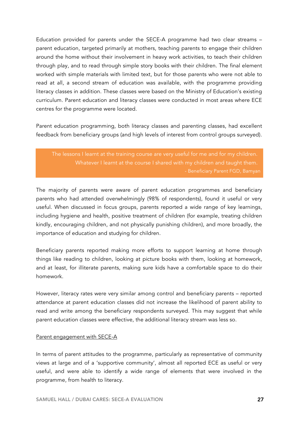Education provided for parents under the SECE-A programme had two clear streams – parent education, targeted primarily at mothers, teaching parents to engage their children around the home without their involvement in heavy work activities, to teach their children through play, and to read through simple story books with their children. The final element worked with simple materials with limited text, but for those parents who were not able to read at all, a second stream of education was available, with the programme providing literacy classes in addition. These classes were based on the Ministry of Education's existing curriculum. Parent education and literacy classes were conducted in most areas where ECE centres for the programme were located.

Parent education programming, both literacy classes and parenting classes, had excellent feedback from beneficiary groups (and high levels of interest from control groups surveyed).

The lessons I learnt at the training course are very useful for me and for my children. Whatever I learnt at the course I shared with my children and taught them.

The majority of parents were aware of parent education programmes and beneficiary parents who had attended overwhelmingly (98% of respondents), found it useful or very useful. When discussed in focus groups, parents reported a wide range of key learnings, including hygiene and health, positive treatment of children (for example, treating children kindly, encouraging children, and not physically punishing children), and more broadly, the importance of education and studying for children.

Beneficiary parents reported making more efforts to support learning at home through things like reading to children, looking at picture books with them, looking at homework, and at least, for illiterate parents, making sure kids have a comfortable space to do their homework.

However, literacy rates were very similar among control and beneficiary parents – reported attendance at parent education classes did not increase the likelihood of parent ability to read and write among the beneficiary respondents surveyed. This may suggest that while parent education classes were effective, the additional literacy stream was less so.

### Parent engagement with SECE-A

In terms of parent attitudes to the programme, particularly as representative of community views at large and of a 'supportive community', almost all reported ECE as useful or very useful, and were able to identify a wide range of elements that were involved in the programme, from health to literacy.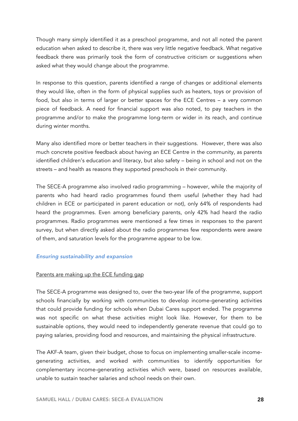Though many simply identified it as a preschool programme, and not all noted the parent education when asked to describe it, there was very little negative feedback. What negative feedback there was primarily took the form of constructive criticism or suggestions when asked what they would change about the programme.

In response to this question, parents identified a range of changes or additional elements they would like, often in the form of physical supplies such as heaters, toys or provision of food, but also in terms of larger or better spaces for the ECE Centres – a very common piece of feedback. A need for financial support was also noted, to pay teachers in the programme and/or to make the programme long-term or wider in its reach, and continue during winter months.

Many also identified more or better teachers in their suggestions. However, there was also much concrete positive feedback about having an ECE Centre in the community, as parents identified children's education and literacy, but also safety – being in school and not on the streets – and health as reasons they supported preschools in their community.

The SECE-A programme also involved radio programming – however, while the majority of parents who had heard radio programmes found them useful (whether they had had children in ECE or participated in parent education or not), only 64% of respondents had heard the programmes. Even among beneficiary parents, only 42% had heard the radio programmes. Radio programmes were mentioned a few times in responses to the parent survey, but when directly asked about the radio programmes few respondents were aware of them, and saturation levels for the programme appear to be low.

### *Ensuring sustainability and expansion*

## Parents are making up the ECE funding gap

The SECE-A programme was designed to, over the two-year life of the programme, support schools financially by working with communities to develop income-generating activities that could provide funding for schools when Dubai Cares support ended. The programme was not specific on what these activities might look like. However, for them to be sustainable options, they would need to independently generate revenue that could go to paying salaries, providing food and resources, and maintaining the physical infrastructure.

The AKF-A team, given their budget, chose to focus on implementing smaller-scale incomegenerating activities, and worked with communities to identify opportunities for complementary income-generating activities which were, based on resources available, unable to sustain teacher salaries and school needs on their own.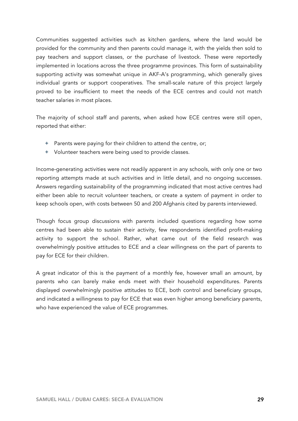Communities suggested activities such as kitchen gardens, where the land would be provided for the community and then parents could manage it, with the yields then sold to pay teachers and support classes, or the purchase of livestock. These were reportedly implemented in locations across the three programme provinces. This form of sustainability supporting activity was somewhat unique in AKF-A's programming, which generally gives individual grants or support cooperatives. The small-scale nature of this project largely proved to be insufficient to meet the needs of the ECE centres and could not match teacher salaries in most places.

The majority of school staff and parents, when asked how ECE centres were still open, reported that either:

- **+** Parents were paying for their children to attend the centre, or;
- **+** Volunteer teachers were being used to provide classes.

Income-generating activities were not readily apparent in any schools, with only one or two reporting attempts made at such activities and in little detail, and no ongoing successes. Answers regarding sustainability of the programming indicated that most active centres had either been able to recruit volunteer teachers, or create a system of payment in order to keep schools open, with costs between 50 and 200 Afghanis cited by parents interviewed.

Though focus group discussions with parents included questions regarding how some centres had been able to sustain their activity, few respondents identified profit-making activity to support the school. Rather, what came out of the field research was overwhelmingly positive attitudes to ECE and a clear willingness on the part of parents to pay for ECE for their children.

A great indicator of this is the payment of a monthly fee, however small an amount, by parents who can barely make ends meet with their household expenditures. Parents displayed overwhelmingly positive attitudes to ECE, both control and beneficiary groups, and indicated a willingness to pay for ECE that was even higher among beneficiary parents, who have experienced the value of ECE programmes.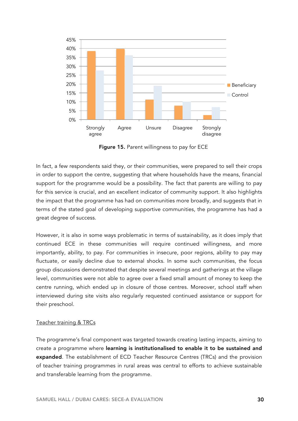

Figure 15. Parent willingness to pay for ECE

In fact, a few respondents said they, or their communities, were prepared to sell their crops in order to support the centre, suggesting that where households have the means, financial support for the programme would be a possibility. The fact that parents are willing to pay for this service is crucial, and an excellent indicator of community support. It also highlights the impact that the programme has had on communities more broadly, and suggests that in terms of the stated goal of developing supportive communities, the programme has had a great degree of success.

However, it is also in some ways problematic in terms of sustainability, as it does imply that continued ECE in these communities will require continued willingness, and more importantly, ability, to pay. For communities in insecure, poor regions, ability to pay may fluctuate, or easily decline due to external shocks. In some such communities, the focus group discussions demonstrated that despite several meetings and gatherings at the village level, communities were not able to agree over a fixed small amount of money to keep the centre running, which ended up in closure of those centres. Moreover, school staff when interviewed during site visits also regularly requested continued assistance or support for their preschool.

### Teacher training & TRCs

The programme's final component was targeted towards creating lasting impacts, aiming to create a programme where learning is institutionalised to enable it to be sustained and expanded. The establishment of ECD Teacher Resource Centres (TRCs) and the provision of teacher training programmes in rural areas was central to efforts to achieve sustainable and transferable learning from the programme.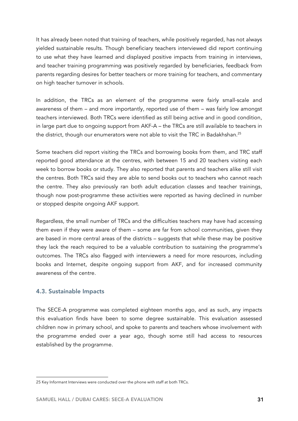It has already been noted that training of teachers, while positively regarded, has not always yielded sustainable results. Though beneficiary teachers interviewed did report continuing to use what they have learned and displayed positive impacts from training in interviews, and teacher training programming was positively regarded by beneficiaries, feedback from parents regarding desires for better teachers or more training for teachers, and commentary on high teacher turnover in schools.

In addition, the TRCs as an element of the programme were fairly small-scale and awareness of them – and more importantly, reported use of them – was fairly low amongst teachers interviewed. Both TRCs were identified as still being active and in good condition, in large part due to ongoing support from AKF-A – the TRCs are still available to teachers in the district, though our enumerators were not able to visit the TRC in Badakhshan.<sup>25</sup>

Some teachers did report visiting the TRCs and borrowing books from them, and TRC staff reported good attendance at the centres, with between 15 and 20 teachers visiting each week to borrow books or study. They also reported that parents and teachers alike still visit the centres. Both TRCs said they are able to send books out to teachers who cannot reach the centre. They also previously ran both adult education classes and teacher trainings, though now post-programme these activities were reported as having declined in number or stopped despite ongoing AKF support.

Regardless, the small number of TRCs and the difficulties teachers may have had accessing them even if they were aware of them – some are far from school communities, given they are based in more central areas of the districts – suggests that while these may be positive they lack the reach required to be a valuable contribution to sustaining the programme's outcomes. The TRCs also flagged with interviewers a need for more resources, including books and Internet, despite ongoing support from AKF, and for increased community awareness of the centre.

## 4.3. Sustainable Impacts

The SECE-A programme was completed eighteen months ago, and as such, any impacts this evaluation finds have been to some degree sustainable. This evaluation assessed children now in primary school, and spoke to parents and teachers whose involvement with the programme ended over a year ago, though some still had access to resources established by the programme.

<sup>25</sup> Key Informant Interviews were conducted over the phone with staff at both TRCs.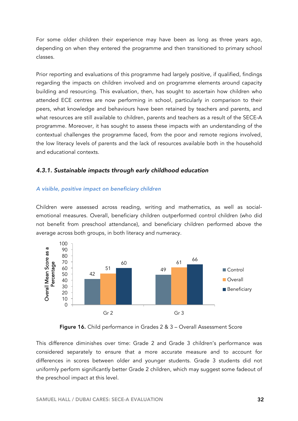For some older children their experience may have been as long as three years ago, depending on when they entered the programme and then transitioned to primary school classes.

Prior reporting and evaluations of this programme had largely positive, if qualified, findings regarding the impacts on children involved and on programme elements around capacity building and resourcing. This evaluation, then, has sought to ascertain how children who attended ECE centres are now performing in school, particularly in comparison to their peers, what knowledge and behaviours have been retained by teachers and parents, and what resources are still available to children, parents and teachers as a result of the SECE-A programme. Moreover, it has sought to assess these impacts with an understanding of the contextual challenges the programme faced, from the poor and remote regions involved, the low literacy levels of parents and the lack of resources available both in the household and educational contexts.

## *4.3.1. Sustainable impacts through early childhood education*

### *A visible, positive impact on beneficiary children*

Children were assessed across reading, writing and mathematics, as well as socialemotional measures. Overall, beneficiary children outperformed control children (who did not benefit from preschool attendance), and beneficiary children performed above the average across both groups, in both literacy and numeracy.



Figure 16. Child performance in Grades 2 & 3 – Overall Assessment Score

This difference diminishes over time: Grade 2 and Grade 3 children's performance was considered separately to ensure that a more accurate measure and to account for differences in scores between older and younger students. Grade 3 students did not uniformly perform significantly better Grade 2 children, which may suggest some fadeout of the preschool impact at this level.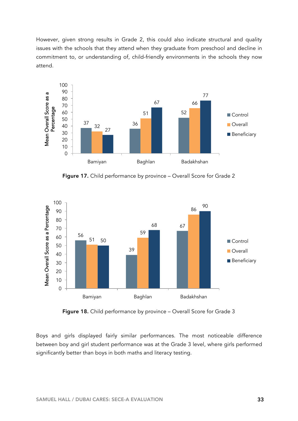However, given strong results in Grade 2, this could also indicate structural and quality issues with the schools that they attend when they graduate from preschool and decline in commitment to, or understanding of, child-friendly environments in the schools they now attend.



Figure 17. Child performance by province – Overall Score for Grade 2



Figure 18. Child performance by province – Overall Score for Grade 3

Boys and girls displayed fairly similar performances. The most noticeable difference between boy and girl student performance was at the Grade 3 level, where girls performed significantly better than boys in both maths and literacy testing.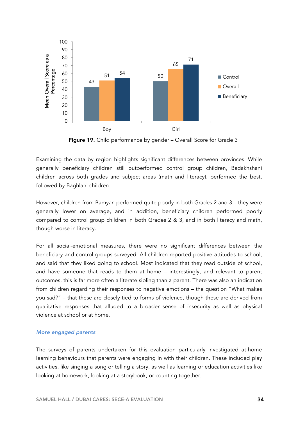

Figure 19. Child performance by gender – Overall Score for Grade 3

Examining the data by region highlights significant differences between provinces. While generally beneficiary children still outperformed control group children, Badakhshani children across both grades and subject areas (math and literacy), performed the best, followed by Baghlani children.

However, children from Bamyan performed quite poorly in both Grades 2 and 3 – they were generally lower on average, and in addition, beneficiary children performed poorly compared to control group children in both Grades 2 & 3, and in both literacy and math, though worse in literacy.

For all social-emotional measures, there were no significant differences between the beneficiary and control groups surveyed. All children reported positive attitudes to school, and said that they liked going to school. Most indicated that they read outside of school, and have someone that reads to them at home – interestingly, and relevant to parent outcomes, this is far more often a literate sibling than a parent. There was also an indication from children regarding their responses to negative emotions – the question "What makes you sad?" – that these are closely tied to forms of violence, though these are derived from qualitative responses that alluded to a broader sense of insecurity as well as physical violence at school or at home.

### *More engaged parents*

The surveys of parents undertaken for this evaluation particularly investigated at-home learning behaviours that parents were engaging in with their children. These included play activities, like singing a song or telling a story, as well as learning or education activities like looking at homework, looking at a storybook, or counting together.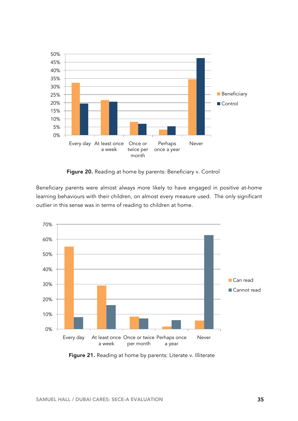

Figure 20. Reading at home by parents: Beneficiary v. Control

Beneficiary parents were almost always more likely to have engaged in positive at-home learning behaviours with their children, on almost every measure used. The only significant outlier in this sense was in terms of reading to children at home.



Figure 21. Reading at home by parents: Literate v. Illiterate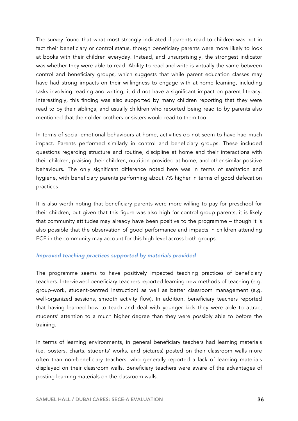The survey found that what most strongly indicated if parents read to children was not in fact their beneficiary or control status, though beneficiary parents were more likely to look at books with their children everyday. Instead, and unsurprisingly, the strongest indicator was whether they were able to read. Ability to read and write is virtually the same between control and beneficiary groups, which suggests that while parent education classes may have had strong impacts on their willingness to engage with at-home learning, including tasks involving reading and writing, it did not have a significant impact on parent literacy. Interestingly, this finding was also supported by many children reporting that they were read to by their siblings, and usually children who reported being read to by parents also mentioned that their older brothers or sisters would read to them too.

In terms of social-emotional behaviours at home, activities do not seem to have had much impact. Parents performed similarly in control and beneficiary groups. These included questions regarding structure and routine, discipline at home and their interactions with their children, praising their children, nutrition provided at home, and other similar positive behaviours. The only significant difference noted here was in terms of sanitation and hygiene, with beneficiary parents performing about 7% higher in terms of good defecation practices.

It is also worth noting that beneficiary parents were more willing to pay for preschool for their children, but given that this figure was also high for control group parents, it is likely that community attitudes may already have been positive to the programme – though it is also possible that the observation of good performance and impacts in children attending ECE in the community may account for this high level across both groups.

### *Improved teaching practices supported by materials provided*

The programme seems to have positively impacted teaching practices of beneficiary teachers. Interviewed beneficiary teachers reported learning new methods of teaching (e.g. group-work, student-centred instruction) as well as better classroom management (e.g. well-organized sessions, smooth activity flow). In addition, beneficiary teachers reported that having learned how to teach and deal with younger kids they were able to attract students' attention to a much higher degree than they were possibly able to before the training.

In terms of learning environments, in general beneficiary teachers had learning materials (i.e. posters, charts, students' works, and pictures) posted on their classroom walls more often than non-beneficiary teachers, who generally reported a lack of learning materials displayed on their classroom walls. Beneficiary teachers were aware of the advantages of posting learning materials on the classroom walls.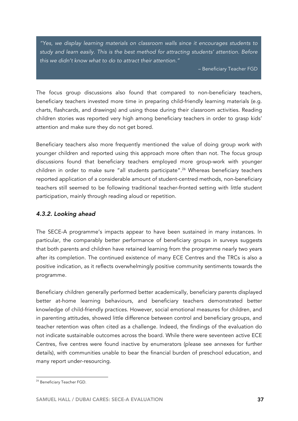*"Yes, we display learning materials on classroom walls since it encourages students to study and learn easily. This is the best method for attracting students' attention. Before this we didn't know what to do to attract their attention."*

– Beneficiary Teacher FGD

The focus group discussions also found that compared to non-beneficiary teachers, beneficiary teachers invested more time in preparing child-friendly learning materials (e.g. charts, flashcards, and drawings) and using those during their classroom activities. Reading children stories was reported very high among beneficiary teachers in order to grasp kids' attention and make sure they do not get bored.

Beneficiary teachers also more frequently mentioned the value of doing group work with younger children and reported using this approach more often than not. The focus group discussions found that beneficiary teachers employed more group-work with younger children in order to make sure "all students participate".<sup>26</sup> Whereas beneficiary teachers reported application of a considerable amount of student-centred methods, non-beneficiary teachers still seemed to be following traditional teacher-fronted setting with little student participation, mainly through reading aloud or repetition.

## *4.3.2. Looking ahead*

The SECE-A programme's impacts appear to have been sustained in many instances. In particular, the comparably better performance of beneficiary groups in surveys suggests that both parents and children have retained learning from the programme nearly two years after its completion. The continued existence of many ECE Centres and the TRCs is also a positive indication, as it reflects overwhelmingly positive community sentiments towards the programme.

Beneficiary children generally performed better academically, beneficiary parents displayed better at-home learning behaviours, and beneficiary teachers demonstrated better knowledge of child-friendly practices. However, social emotional measures for children, and in parenting attitudes, showed little difference between control and beneficiary groups, and teacher retention was often cited as a challenge. Indeed, the findings of the evaluation do not indicate sustainable outcomes across the board. While there were seventeen active ECE Centres, five centres were found inactive by enumerators (please see annexes for further details), with communities unable to bear the financial burden of preschool education, and many report under-resourcing.

<sup>&</sup>lt;sup>26</sup> Beneficiary Teacher FGD.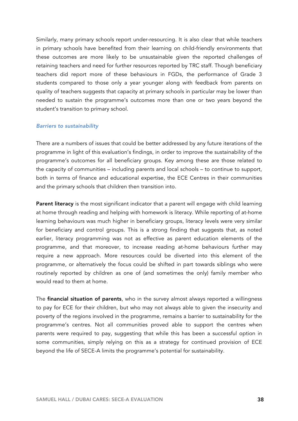Similarly, many primary schools report under-resourcing. It is also clear that while teachers in primary schools have benefited from their learning on child-friendly environments that these outcomes are more likely to be unsustainable given the reported challenges of retaining teachers and need for further resources reported by TRC staff. Though beneficiary teachers did report more of these behaviours in FGDs, the performance of Grade 3 students compared to those only a year younger along with feedback from parents on quality of teachers suggests that capacity at primary schools in particular may be lower than needed to sustain the programme's outcomes more than one or two years beyond the student's transition to primary school.

#### *Barriers to sustainability*

There are a numbers of issues that could be better addressed by any future iterations of the programme in light of this evaluation's findings, in order to improve the sustainability of the programme's outcomes for all beneficiary groups. Key among these are those related to the capacity of communities – including parents and local schools – to continue to support, both in terms of finance and educational expertise, the ECE Centres in their communities and the primary schools that children then transition into.

Parent literacy is the most significant indicator that a parent will engage with child learning at home through reading and helping with homework is literacy. While reporting of at-home learning behaviours was much higher in beneficiary groups, literacy levels were very similar for beneficiary and control groups. This is a strong finding that suggests that, as noted earlier, literacy programming was not as effective as parent education elements of the programme, and that moreover, to increase reading at-home behaviours further may require a new approach. More resources could be diverted into this element of the programme, or alternatively the focus could be shifted in part towards siblings who were routinely reported by children as one of (and sometimes the only) family member who would read to them at home.

The **financial situation of parents**, who in the survey almost always reported a willingness to pay for ECE for their children, but who may not always able to given the insecurity and poverty of the regions involved in the programme, remains a barrier to sustainability for the programme's centres. Not all communities proved able to support the centres when parents were required to pay, suggesting that while this has been a successful option in some communities, simply relying on this as a strategy for continued provision of ECE beyond the life of SECE-A limits the programme's potential for sustainability.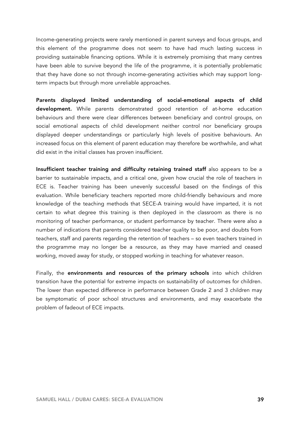Income-generating projects were rarely mentioned in parent surveys and focus groups, and this element of the programme does not seem to have had much lasting success in providing sustainable financing options. While it is extremely promising that many centres have been able to survive beyond the life of the programme, it is potentially problematic that they have done so not through income-generating activities which may support longterm impacts but through more unreliable approaches.

Parents displayed limited understanding of social-emotional aspects of child development. While parents demonstrated good retention of at-home education behaviours and there were clear differences between beneficiary and control groups, on social emotional aspects of child development neither control nor beneficiary groups displayed deeper understandings or particularly high levels of positive behaviours. An increased focus on this element of parent education may therefore be worthwhile, and what did exist in the initial classes has proven insufficient.

Insufficient teacher training and difficulty retaining trained staff also appears to be a barrier to sustainable impacts, and a critical one, given how crucial the role of teachers in ECE is. Teacher training has been unevenly successful based on the findings of this evaluation. While beneficiary teachers reported more child-friendly behaviours and more knowledge of the teaching methods that SECE-A training would have imparted, it is not certain to what degree this training is then deployed in the classroom as there is no monitoring of teacher performance, or student performance by teacher. There were also a number of indications that parents considered teacher quality to be poor, and doubts from teachers, staff and parents regarding the retention of teachers – so even teachers trained in the programme may no longer be a resource, as they may have married and ceased working, moved away for study, or stopped working in teaching for whatever reason.

Finally, the environments and resources of the primary schools into which children transition have the potential for extreme impacts on sustainability of outcomes for children. The lower than expected difference in performance between Grade 2 and 3 children may be symptomatic of poor school structures and environments, and may exacerbate the problem of fadeout of ECE impacts.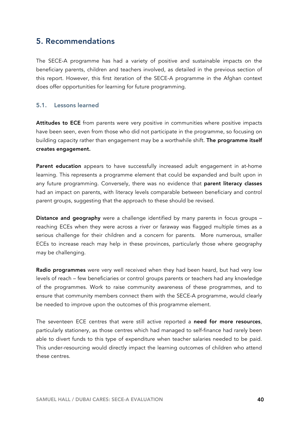# 5. Recommendations

The SECE-A programme has had a variety of positive and sustainable impacts on the beneficiary parents, children and teachers involved, as detailed in the previous section of this report. However, this first iteration of the SECE-A programme in the Afghan context does offer opportunities for learning for future programming.

## 5.1. Lessons learned

Attitudes to ECE from parents were very positive in communities where positive impacts have been seen, even from those who did not participate in the programme, so focusing on building capacity rather than engagement may be a worthwhile shift. The programme itself creates engagement.

Parent education appears to have successfully increased adult engagement in at-home learning. This represents a programme element that could be expanded and built upon in any future programming. Conversely, there was no evidence that parent literacy classes had an impact on parents, with literacy levels comparable between beneficiary and control parent groups, suggesting that the approach to these should be revised.

Distance and geography were a challenge identified by many parents in focus groups reaching ECEs when they were across a river or faraway was flagged multiple times as a serious challenge for their children and a concern for parents. More numerous, smaller ECEs to increase reach may help in these provinces, particularly those where geography may be challenging.

Radio programmes were very well received when they had been heard, but had very low levels of reach – few beneficiaries or control groups parents or teachers had any knowledge of the programmes. Work to raise community awareness of these programmes, and to ensure that community members connect them with the SECE-A programme, would clearly be needed to improve upon the outcomes of this programme element.

The seventeen ECE centres that were still active reported a need for more resources, particularly stationery, as those centres which had managed to self-finance had rarely been able to divert funds to this type of expenditure when teacher salaries needed to be paid. This under-resourcing would directly impact the learning outcomes of children who attend these centres.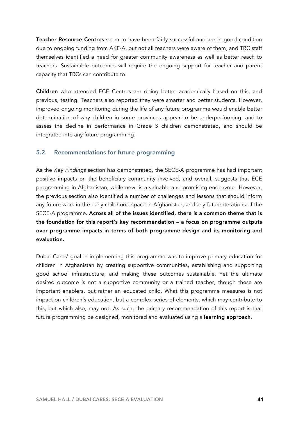Teacher Resource Centres seem to have been fairly successful and are in good condition due to ongoing funding from AKF-A, but not all teachers were aware of them, and TRC staff themselves identified a need for greater community awareness as well as better reach to teachers. Sustainable outcomes will require the ongoing support for teacher and parent capacity that TRCs can contribute to.

Children who attended ECE Centres are doing better academically based on this, and previous, testing. Teachers also reported they were smarter and better students. However, improved ongoing monitoring during the life of any future programme would enable better determination of why children in some provinces appear to be underperforming, and to assess the decline in performance in Grade 3 children demonstrated, and should be integrated into any future programming.

## 5.2. Recommendations for future programming

As the *Key Findings* section has demonstrated, the SECE-A programme has had important positive impacts on the beneficiary community involved, and overall, suggests that ECE programming in Afghanistan, while new, is a valuable and promising endeavour. However, the previous section also identified a number of challenges and lessons that should inform any future work in the early childhood space in Afghanistan, and any future iterations of the SECE-A programme. Across all of the issues identified, there is a common theme that is the foundation for this report's key recommendation – a focus on programme outputs over programme impacts in terms of both programme design and its monitoring and evaluation.

Dubai Cares' goal in implementing this programme was to improve primary education for children in Afghanistan by creating supportive communities, establishing and supporting good school infrastructure, and making these outcomes sustainable. Yet the ultimate desired outcome is not a supportive community or a trained teacher, though these are important enablers, but rather an educated child. What this programme measures is not impact on children's education, but a complex series of elements, which may contribute to this, but which also, may not. As such, the primary recommendation of this report is that future programming be designed, monitored and evaluated using a learning approach.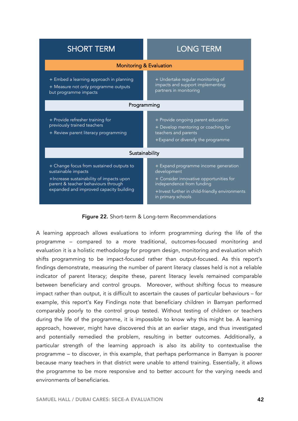| <b>SHORT TERM</b>                                                                                                                                                                             | <b>LONG TERM</b>                                                                                                                                                                                    |  |  |
|-----------------------------------------------------------------------------------------------------------------------------------------------------------------------------------------------|-----------------------------------------------------------------------------------------------------------------------------------------------------------------------------------------------------|--|--|
| <b>Monitoring &amp; Evaluation</b>                                                                                                                                                            |                                                                                                                                                                                                     |  |  |
| + Embed a learning approach in planning<br>+ Measure not only programme outputs<br>but programme impacts                                                                                      | + Undertake regular monitoring of<br>impacts and support implementing<br>partners in monitoring                                                                                                     |  |  |
| Programming                                                                                                                                                                                   |                                                                                                                                                                                                     |  |  |
| + Provide refresher training for<br>previously trained teachers<br>+ Review parent literacy programming                                                                                       | + Provide ongoing parent education<br>+ Develop mentoring or coaching for<br>teachers and parents<br>+Expand or diversify the programme                                                             |  |  |
| Sustainability                                                                                                                                                                                |                                                                                                                                                                                                     |  |  |
| + Change focus from sustained outputs to<br>sustainable impacts<br>+Increase sustainability of impacts upon<br>parent & teacher behaviours through<br>expanded and improved capacity building | + Expand programme income generation<br>development<br>+ Consider innovative opportunities for<br>independence from funding<br>+Invest further in child-friendly environments<br>in primary schools |  |  |

### Figure 22. Short-term & Long-term Recommendations

A learning approach allows evaluations to inform programming during the life of the programme – compared to a more traditional, outcomes-focused monitoring and evaluation it is a holistic methodology for program design, monitoring and evaluation which shifts programming to be impact-focused rather than output-focused. As this report's findings demonstrate, measuring the number of parent literacy classes held is not a reliable indicator of parent literacy; despite these, parent literacy levels remained comparable between beneficiary and control groups. Moreover, without shifting focus to measure impact rather than output, it is difficult to ascertain the causes of particular behaviours – for example, this report's Key Findings note that beneficiary children in Bamyan performed comparably poorly to the control group tested. Without testing of children or teachers during the life of the programme, it is impossible to know why this might be. A learning approach, however, might have discovered this at an earlier stage, and thus investigated and potentially remedied the problem, resulting in better outcomes. Additionally, a particular strength of the learning approach is also its ability to contextualise the programme – to discover, in this example, that perhaps performance in Bamyan is poorer because many teachers in that district were unable to attend training. Essentially, it allows the programme to be more responsive and to better account for the varying needs and environments of beneficiaries.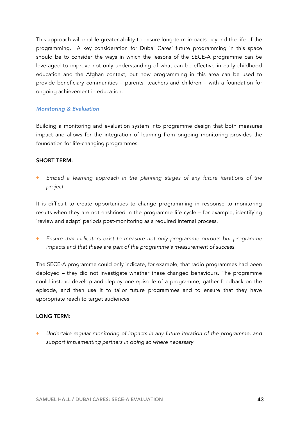This approach will enable greater ability to ensure long-term impacts beyond the life of the programming. A key consideration for Dubai Cares' future programming in this space should be to consider the ways in which the lessons of the SECE-A programme can be leveraged to improve not only understanding of what can be effective in early childhood education and the Afghan context, but how programming in this area can be used to provide beneficiary communities – parents, teachers and children – with a foundation for ongoing achievement in education.

### *Monitoring & Evaluation*

Building a monitoring and evaluation system into programme design that both measures impact and allows for the integration of learning from ongoing monitoring provides the foundation for life-changing programmes.

#### SHORT TERM:

**+** *Embed a learning approach in the planning stages of any future iterations of the project.* 

It is difficult to create opportunities to change programming in response to monitoring results when they are not enshrined in the programme life cycle – for example, identifying 'review and adapt' periods post-monitoring as a required internal process.

**+** *Ensure that indicators exist to measure not only programme outputs but programme impacts and that these are part of the programme's measurement of success.*

The SECE-A programme could only indicate, for example, that radio programmes had been deployed – they did not investigate whether these changed behaviours. The programme could instead develop and deploy one episode of a programme, gather feedback on the episode, and then use it to tailor future programmes and to ensure that they have appropriate reach to target audiences.

### LONG TERM:

**+** *Undertake regular monitoring of impacts in any future iteration of the programme, and support implementing partners in doing so where necessary.*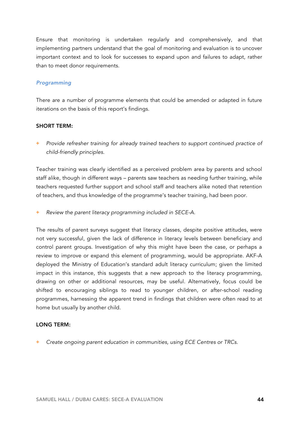Ensure that monitoring is undertaken regularly and comprehensively, and that implementing partners understand that the goal of monitoring and evaluation is to uncover important context and to look for successes to expand upon and failures to adapt, rather than to meet donor requirements.

### *Programming*

There are a number of programme elements that could be amended or adapted in future iterations on the basis of this report's findings.

#### SHORT TERM:

**+** *Provide refresher training for already trained teachers to support continued practice of child-friendly principles.*

Teacher training was clearly identified as a perceived problem area by parents and school staff alike, though in different ways – parents saw teachers as needing further training, while teachers requested further support and school staff and teachers alike noted that retention of teachers, and thus knowledge of the programme's teacher training, had been poor.

**+** *Review the parent literacy programming included in SECE-A.* 

The results of parent surveys suggest that literacy classes, despite positive attitudes, were not very successful, given the lack of difference in literacy levels between beneficiary and control parent groups. Investigation of why this might have been the case, or perhaps a review to improve or expand this element of programming, would be appropriate. AKF-A deployed the Ministry of Education's standard adult literacy curriculum; given the limited impact in this instance, this suggests that a new approach to the literacy programming, drawing on other or additional resources, may be useful. Alternatively, focus could be shifted to encouraging siblings to read to younger children, or after-school reading programmes, harnessing the apparent trend in findings that children were often read to at home but usually by another child.

#### LONG TERM:

**+** *Create ongoing parent education in communities, using ECE Centres or TRCs.*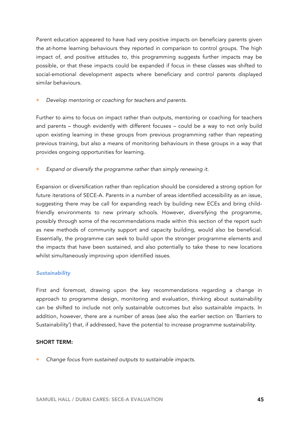Parent education appeared to have had very positive impacts on beneficiary parents given the at-home learning behaviours they reported in comparison to control groups. The high impact of, and positive attitudes to, this programming suggests further impacts may be possible, or that these impacts could be expanded if focus in these classes was shifted to social-emotional development aspects where beneficiary and control parents displayed similar behaviours.

**+** *Develop mentoring or coaching for teachers and parents.*

Further to aims to focus on impact rather than outputs, mentoring or coaching for teachers and parents – though evidently with different focuses – could be a way to not only build upon existing learning in these groups from previous programming rather than repeating previous training, but also a means of monitoring behaviours in these groups in a way that provides ongoing opportunities for learning.

**+** *Expand or diversify the programme rather than simply renewing it.* 

Expansion or diversification rather than replication should be considered a strong option for future iterations of SECE-A. Parents in a number of areas identified accessibility as an issue, suggesting there may be call for expanding reach by building new ECEs and bring childfriendly environments to new primary schools. However, diversifying the programme, possibly through some of the recommendations made within this section of the report such as new methods of community support and capacity building, would also be beneficial. Essentially, the programme can seek to build upon the stronger programme elements and the impacts that have been sustained, and also potentially to take these to new locations whilst simultaneously improving upon identified issues.

#### *Sustainability*

First and foremost, drawing upon the key recommendations regarding a change in approach to programme design, monitoring and evaluation, thinking about sustainability can be shifted to include not only sustainable outcomes but also sustainable impacts. In addition, however, there are a number of areas (see also the earlier section on 'Barriers to Sustainability') that, if addressed, have the potential to increase programme sustainability.

#### SHORT TERM:

**+** *Change focus from sustained outputs to sustainable impacts.*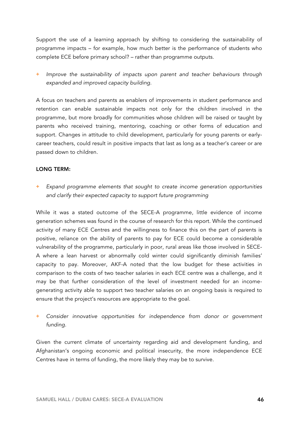Support the use of a learning approach by shifting to considering the sustainability of programme impacts – for example, how much better is the performance of students who complete ECE before primary school? – rather than programme outputs.

**+** *Improve the sustainability of impacts upon parent and teacher behaviours through expanded and improved capacity building.*

A focus on teachers and parents as enablers of improvements in student performance and retention can enable sustainable impacts not only for the children involved in the programme, but more broadly for communities whose children will be raised or taught by parents who received training, mentoring, coaching or other forms of education and support. Changes in attitude to child development, particularly for young parents or earlycareer teachers, could result in positive impacts that last as long as a teacher's career or are passed down to children.

### LONG TERM:

**+** *Expand programme elements that sought to create income generation opportunities and clarify their expected capacity to support future programming* 

While it was a stated outcome of the SECE-A programme, little evidence of income generation schemes was found in the course of research for this report. While the continued activity of many ECE Centres and the willingness to finance this on the part of parents is positive, reliance on the ability of parents to pay for ECE could become a considerable vulnerability of the programme, particularly in poor, rural areas like those involved in SECE-A where a lean harvest or abnormally cold winter could significantly diminish families' capacity to pay. Moreover, AKF-A noted that the low budget for these activities in comparison to the costs of two teacher salaries in each ECE centre was a challenge, and it may be that further consideration of the level of investment needed for an incomegenerating activity able to support two teacher salaries on an ongoing basis is required to ensure that the project's resources are appropriate to the goal.

# **+** *Consider innovative opportunities for independence from donor or government funding.*

Given the current climate of uncertainty regarding aid and development funding, and Afghanistan's ongoing economic and political insecurity, the more independence ECE Centres have in terms of funding, the more likely they may be to survive.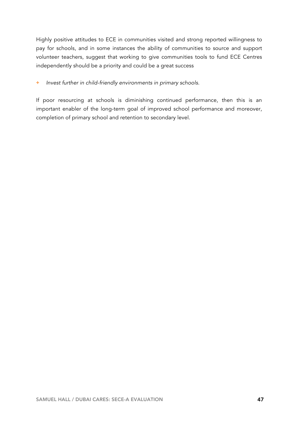Highly positive attitudes to ECE in communities visited and strong reported willingness to pay for schools, and in some instances the ability of communities to source and support volunteer teachers, suggest that working to give communities tools to fund ECE Centres independently should be a priority and could be a great success

## **+** *Invest further in child-friendly environments in primary schools.*

If poor resourcing at schools is diminishing continued performance, then this is an important enabler of the long-term goal of improved school performance and moreover, completion of primary school and retention to secondary level.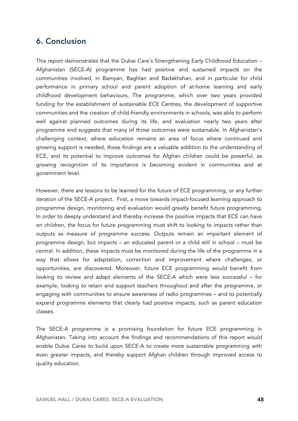# 6. Conclusion

This report demonstrates that the Dubai Care's Strengthening Early Childhood Education – Afghanistan (SECE-A) programme has had positive and sustained impacts on the communities involved, in Bamyan, Baghlan and Badakhshan, and in particular for child performance in primary school and parent adoption of at-home learning and early childhood development behaviours. The programme, which over two years provided funding for the establishment of sustainable ECE Centres, the development of supportive communities and the creation of child-friendly environments in schools, was able to perform well against planned outcomes during its life, and evaluation nearly two years after programme end suggests that many of those outcomes were sustainable. In Afghanistan's challenging context, where education remains an area of focus where continued and growing support is needed, these findings are a valuable addition to the understanding of ECE, and its potential to improve outcomes for Afghan children could be powerful, as growing recognition of its importance is becoming evident in communities and at government level.

However, there are lessons to be learned for the future of ECE programming, or any further iteration of the SECE-A project. First, a move towards impact-focused learning approach to programme design, monitoring and evaluation would greatly benefit future programming. In order to deeply understand and thereby increase the positive impacts that ECE can have on children, the focus for future programming must shift to looking to impacts rather than outputs as measure of programme success. Outputs remain an important element of programme design, but impacts – an educated parent or a child still in school – must be central. In addition, these impacts must be monitored during the life of the programme in a way that allows for adaptation, correction and improvement where challenges, or opportunities, are discovered. Moreover, future ECE programming would benefit from looking to review and adapt elements of the SECE-A which were less successful – for example, looking to retain and support teachers throughout and after the programme, or engaging with communities to ensure awareness of radio programmes – and to potentially expand programme elements that clearly had positive impacts, such as parent education classes.

The SECE-A programme is a promising foundation for future ECE programming in Afghanistan. Taking into account the findings and recommendations of this report would enable Dubai Cares to build upon SECE-A to create more sustainable programming with even greater impacts, and thereby support Afghan children through improved access to quality education.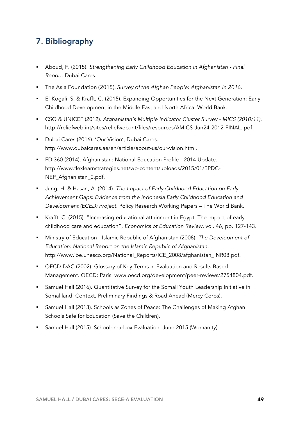# 7. Bibliography

- ! Aboud, F. (2015). *Strengthening Early Childhood Education in Afghanistan Final Report.* Dubai Cares.
- ! The Asia Foundation (2015). *Survey of the Afghan People: Afghanistan in 2016*.
- ! El-Kogali, S. & Krafft, C. (2015). Expanding Opportunities for the Next Generation: Early Childhood Development in the Middle East and North Africa. World Bank.
- ! CSO & UNICEF (2012). *Afghanistan's Multiple Indicator Cluster Survey MICS (2010/11)*. http://reliefweb.int/sites/reliefweb.int/files/resources/AMICS-Jun24-2012-FINAL..pdf.
- ! Dubai Cares (2016). 'Our Vision', Dubai Cares. http://www.dubaicares.ae/en/article/about-us/our-vision.html.
- ! FDI360 (2014). Afghanistan: National Education Profile 2014 Update. http://www.flexlearnstrategies.net/wp-content/uploads/2015/01/EPDC-NEP\_Afghanistan\_0.pdf.
- ! Jung, H. & Hasan, A. (2014). *The Impact of Early Childhood Education on Early Achievement Gaps: Evidence from the Indonesia Early Childhood Education and Development (ECED) Project.* Policy Research Working Papers – The World Bank.
- ! Krafft, C. (2015). "Increasing educational attainment in Egypt: The impact of early childhood care and education", *Economics of Education Review,* vol. 46, pp. 127-143.
- ! Ministry of Education Islamic Republic of Afghanistan (2008). *The Development of Education: National Report on the Islamic Republic of Afghanistan.* http://www.ibe.unesco.org/National\_Reports/ICE\_2008/afghanistan\_ NR08.pdf.
- ! OECD-DAC (2002). Glossary of Key Terms in Evaluation and Results Based Management. OECD: Paris. www.oecd.org/development/peer-reviews/2754804.pdf.
- ! Samuel Hall (2016). Quantitative Survey for the Somali Youth Leadership Initiative in Somaliland: Context, Preliminary Findings & Road Ahead (Mercy Corps).
- ! Samuel Hall (2013). Schools as Zones of Peace: The Challenges of Making Afghan Schools Safe for Education (Save the Children).
- Samuel Hall (2015). School-in-a-box Evaluation: June 2015 (Womanity).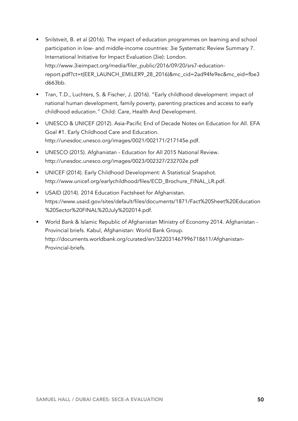- ! Snilstveit, B. et al (2016). The impact of education programmes on learning and school participation in low- and middle-income countries: 3ie Systematic Review Summary 7. International Initiative for Impact Evaluation (3ie): London. http://www.3ieimpact.org/media/filer\_public/2016/09/20/srs7-educationreport.pdf?ct=t(EER\_LAUNCH\_EMILER9\_28\_2016)&mc\_cid=2ad94fe9ec&mc\_eid=fbe3 d663bb.
- ! Tran, T.D., Luchters, S. & Fischer, J. (2016). "Early childhood development: impact of national human development, family poverty, parenting practices and access to early childhood education." Child: Care, Health And Development.
- ! UNESCO & UNICEF (2012). Asia-Pacific End of Decade Notes on Education for All. EFA Goal #1. Early Childhood Care and Education. http://unesdoc.unesco.org/images/0021/002171/217145e.pdf.
- ! UNESCO (2015). Afghanistan Education for All 2015 National Review. http://unesdoc.unesco.org/images/0023/002327/232702e.pdf
- ! UNICEF (2014). Early Childhood Development: A Statistical Snapshot. http://www.unicef.org/earlychildhood/files/ECD\_Brochure\_FINAL\_LR.pdf.
- **USAID (2014). 2014 Education Factsheet for Afghanistan.** https://www.usaid.gov/sites/default/files/documents/1871/Fact%20Sheet%20Education %20Sector%20FINAL%20July%202014.pdf.
- ! World Bank & Islamic Republic of Afghanistan Ministry of Economy 2014. Afghanistan Provincial briefs. Kabul, Afghanistan: World Bank Group. http://documents.worldbank.org/curated/en/322031467996718611/Afghanistan-Provincial-briefs.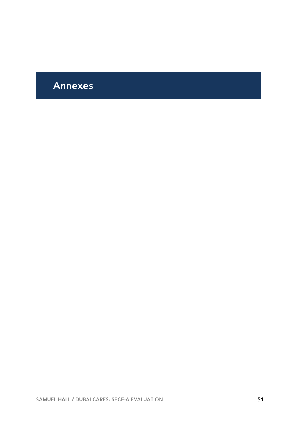# Annexes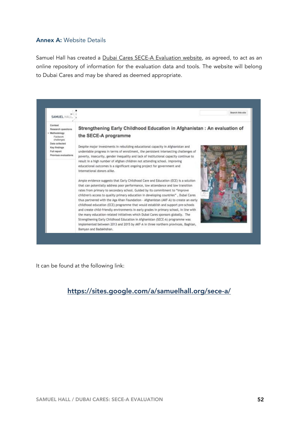# Annex A: Website Details

Samuel Hall has created a Dubai Cares SECE-A Evaluation website, as agreed, to act as an online repository of information for the evaluation data and tools. The website will belong to Dubai Cares and may be shared as deemed appropriate.



It can be found at the following link:

# https://sites.google.com/a/samuelhall.org/sece-a/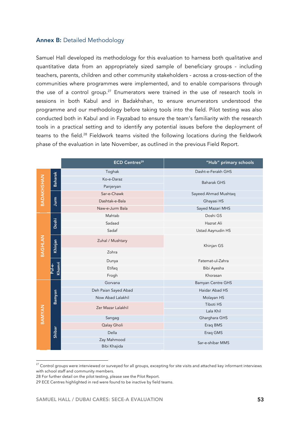### Annex B: Detailed Methodology

Samuel Hall developed its methodology for this evaluation to harness both qualitative and quantitative data from an appropriately sized sample of beneficiary groups - including teachers, parents, children and other community stakeholders - across a cross-section of the communities where programmes were implemented, and to enable comparisons through the use of a control group.<sup>27</sup> Enumerators were trained in the use of research tools in sessions in both Kabul and in Badakhshan, to ensure enumerators understood the programme and our methodology before taking tools into the field. Pilot testing was also conducted both in Kabul and in Fayzabad to ensure the team's familiarity with the research tools in a practical setting and to identify any potential issues before the deployment of teams to the field.28 Fieldwork teams visited the following locations during the fieldwork phase of the evaluation in late November, as outlined in the previous Field Report.

|                   |                  | <b>ECD Centres<sup>29</sup></b> | "Hub" primary schools    |
|-------------------|------------------|---------------------------------|--------------------------|
| <b>BADAKHSHAN</b> |                  | Toghak                          | Dasht-e-Ferakh GHS       |
|                   | <b>Baharak</b>   | Ko-e-Daraz                      | <b>Baharak GHS</b>       |
|                   |                  | Panjeryan                       |                          |
|                   |                  | Sar-e-Chawk                     | Sayeed Ahmad Mushtaq     |
|                   | Jurm             | Dashtak-e-Bala                  | Ghayasi HS               |
|                   |                  | Naw-e-Jurm Bala                 | Sayed Mazari MHS         |
|                   |                  | Mahtab                          | Doshi GS                 |
|                   | Doshi            | Sadaad                          | Hazrat Ali               |
|                   |                  | Sadaf                           | Ustad Aaynudin HS        |
| BAGHLAN           | Khinjan          | Zuhal / Mushtary                | Khinjan GS               |
| Zohra             |                  |                                 |                          |
|                   |                  | Dunya                           | Fatemat-ul-Zahra         |
|                   | Khomri<br>Pul-e- | Etifaq                          | Bibi Ayesha              |
|                   |                  | Frogh                           | Khorasan                 |
|                   |                  | Gorvana                         | <b>Bamyan Centre GHS</b> |
|                   |                  | Deh Paian Sayed Abad            | Haidar Abad HS           |
|                   | Bamyan           | Now Abad Lalakhil               | Molayan HS               |
|                   |                  | Zer Mazar Lalakhil              | <b>Tiboti HS</b>         |
| <b>BAMYAN</b>     |                  |                                 | Lala Khil                |
|                   |                  | Sangag                          | Gharghara GHS            |
|                   |                  | Qalay Gholi                     | Eraq BMS                 |
|                   | Shibar           | Della                           | Eraq GMS                 |
|                   |                  | Zay Mahmood                     | Sar-e-shibar MMS         |
|                   | Bibi Khajida     |                                 |                          |

<sup>&</sup>lt;sup>27</sup> Control groups were interviewed or surveyed for all groups, excepting for site visits and attached key informant interviews with school staff and community members.

 $\overline{a}$ 

<sup>28</sup> For further detail on the pilot testing, please see the Pilot Report.

<sup>29</sup> ECE Centres highlighted in red were found to be inactive by field teams.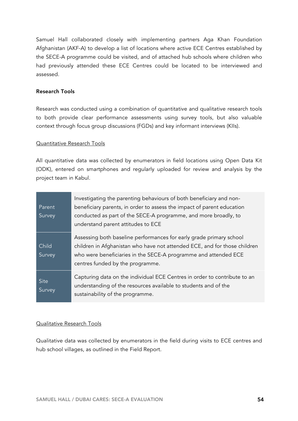Samuel Hall collaborated closely with implementing partners Aga Khan Foundation Afghanistan (AKF-A) to develop a list of locations where active ECE Centres established by the SECE-A programme could be visited, and of attached hub schools where children who had previously attended these ECE Centres could be located to be interviewed and assessed.

### Research Tools

Research was conducted using a combination of quantitative and qualitative research tools to both provide clear performance assessments using survey tools, but also valuable context through focus group discussions (FGDs) and key informant interviews (KIIs).

### Quantitative Research Tools

All quantitative data was collected by enumerators in field locations using Open Data Kit (ODK), entered on smartphones and regularly uploaded for review and analysis by the project team in Kabul.

| Parent<br>Survey | Investigating the parenting behaviours of both beneficiary and non-<br>beneficiary parents, in order to assess the impact of parent education<br>conducted as part of the SECE-A programme, and more broadly, to<br>understand parent attitudes to ECE  |
|------------------|---------------------------------------------------------------------------------------------------------------------------------------------------------------------------------------------------------------------------------------------------------|
| Child<br>Survey  | Assessing both baseline performances for early grade primary school<br>children in Afghanistan who have not attended ECE, and for those children<br>who were beneficiaries in the SECE-A programme and attended ECE<br>centres funded by the programme. |
| Site<br>Survey   | Capturing data on the individual ECE Centres in order to contribute to an<br>understanding of the resources available to students and of the<br>sustainability of the programme.                                                                        |

## Qualitative Research Tools

Qualitative data was collected by enumerators in the field during visits to ECE centres and hub school villages, as outlined in the Field Report.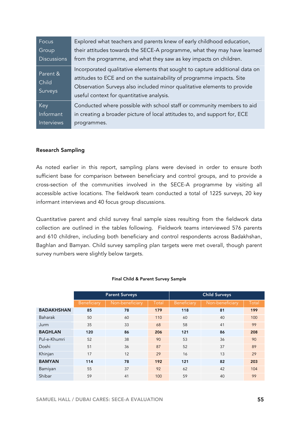| Focus                        | Explored what teachers and parents knew of early childhood education,                                                                                                                                                                                                        |
|------------------------------|------------------------------------------------------------------------------------------------------------------------------------------------------------------------------------------------------------------------------------------------------------------------------|
| Group                        | their attitudes towards the SECE-A programme, what they may have learned                                                                                                                                                                                                     |
| <b>Discussions</b>           | from the programme, and what they saw as key impacts on children.                                                                                                                                                                                                            |
| Parent &<br>Child<br>Surveys | Incorporated qualitative elements that sought to capture additional data on<br>attitudes to ECE and on the sustainability of programme impacts. Site<br>Observation Surveys also included minor qualitative elements to provide<br>useful context for quantitative analysis. |
| Key                          | Conducted where possible with school staff or community members to aid                                                                                                                                                                                                       |
| Informant                    | in creating a broader picture of local attitudes to, and support for, ECE                                                                                                                                                                                                    |
| <b>Interviews</b>            | programmes.                                                                                                                                                                                                                                                                  |

#### Research Sampling

As noted earlier in this report, sampling plans were devised in order to ensure both sufficient base for comparison between beneficiary and control groups, and to provide a cross-section of the communities involved in the SECE-A programme by visiting all accessible active locations. The fieldwork team conducted a total of 1225 surveys, 20 key informant interviews and 40 focus group discussions.

Quantitative parent and child survey final sample sizes resulting from the fieldwork data collection are outlined in the tables following. Fieldwork teams interviewed 576 parents and 610 children, including both beneficiary and control respondents across Badakhshan, Baghlan and Bamyan. Child survey sampling plan targets were met overall, though parent survey numbers were slightly below targets.

|                   | <b>Parent Surveys</b> |                 |       | <b>Child Surveys</b> |                 |       |
|-------------------|-----------------------|-----------------|-------|----------------------|-----------------|-------|
|                   | Beneficiary           | Non-beneficiary | Total | Beneficiary          | Non-beneficiary | Total |
| <b>BADAKHSHAN</b> | 85                    | 78              | 179   | 118                  | 81              | 199   |
| <b>Baharak</b>    | 50                    | 60              | 110   | 60                   | 40              | 100   |
| Jurm              | 35                    | 33              | 68    | 58                   | 41              | 99    |
| <b>BAGHLAN</b>    | 120                   | 86              | 206   | 121                  | 86              | 208   |
| Pul-e-Khumri      | 52                    | 38              | 90    | 53                   | 36              | 90    |
| Doshi             | 51                    | 36              | 87    | 52                   | 37              | 89    |
| Khinjan           | 17                    | 12              | 29    | 16                   | 13              | 29    |
| <b>BAMYAN</b>     | 114                   | 78              | 192   | 121                  | 82              | 203   |
| Bamiyan           | 55                    | 37              | 92    | 62                   | 42              | 104   |
| Shibar            | 59                    | 41              | 100   | 59                   | 40              | 99    |

#### Final Child & Parent Survey Sample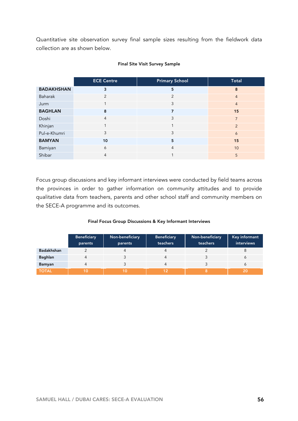Quantitative site observation survey final sample sizes resulting from the fieldwork data collection are as shown below.

|                   | <b>ECE Centre</b> | <b>Primary School</b>    | <b>Total</b>   |
|-------------------|-------------------|--------------------------|----------------|
| <b>BADAKHSHAN</b> | 3                 | 5                        | 8              |
| Baharak           | $\overline{2}$    | $\overline{2}$           | $\overline{4}$ |
| Jurm              | 1                 | 3                        | $\overline{4}$ |
| <b>BAGHLAN</b>    | 8                 | 7                        | 15             |
| Doshi             | $\overline{4}$    | 3                        | $\overline{7}$ |
| Khinjan           | 1                 | $\overline{\phantom{a}}$ | $\overline{2}$ |
| Pul-e-Khumri      | 3                 | 3                        | 6              |
| <b>BAMYAN</b>     | 10                | 5                        | 15             |
| Bamiyan           | 6                 | $\overline{4}$           | 10             |
| Shibar            | $\overline{4}$    |                          | 5              |

#### Final Site Visit Survey Sample

Focus group discussions and key informant interviews were conducted by field teams across the provinces in order to gather information on community attitudes and to provide qualitative data from teachers, parents and other school staff and community members on the SECE-A programme and its outcomes.

#### Final Focus Group Discussions & Key Informant Interviews

|              | <b>Beneficiary</b><br>parents | Non-beneficiary<br>parents | <b>Beneficiary</b><br>teachers | Non-beneficiary<br>teachers | Key informant<br>interviews |
|--------------|-------------------------------|----------------------------|--------------------------------|-----------------------------|-----------------------------|
| Badakhshan   |                               |                            | 4                              |                             |                             |
| Baghlan      |                               |                            | 4                              |                             |                             |
| Bamyan       |                               |                            | 4                              |                             |                             |
| <b>TOTAL</b> | 10                            |                            | 12                             |                             | 20                          |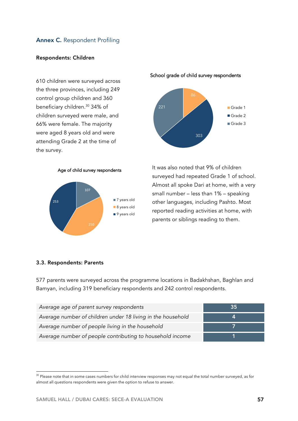# Annex C. Respondent Profiling

#### Respondents: Children

610 children were surveyed across the three provinces, including 249 control group children and 360 beneficiary children.30 34% of children surveyed were male, and 66% were female. The majority were aged 8 years old and were attending Grade 2 at the time of the survey.



#### School grade of child survey respondents



It was also noted that 9% of children surveyed had repeated Grade 1 of school. Almost all spoke Dari at home, with a very small number – less than 1% – speaking other languages, including Pashto. Most reported reading activities at home, with parents or siblings reading to them.

#### 3.3. Respondents: Parents

577 parents were surveyed across the programme locations in Badakhshan, Baghlan and Bamyan, including 319 beneficiary respondents and 242 control respondents.

| Average age of parent survey respondents                    | 35 |
|-------------------------------------------------------------|----|
| Average number of children under 18 living in the household |    |
| Average number of people living in the household            |    |
| Average number of people contributing to household income   |    |

<sup>&</sup>lt;sup>30</sup> Please note that in some cases numbers for child interview responses may not equal the total number surveyed, as for almost all questions respondents were given the option to refuse to answer.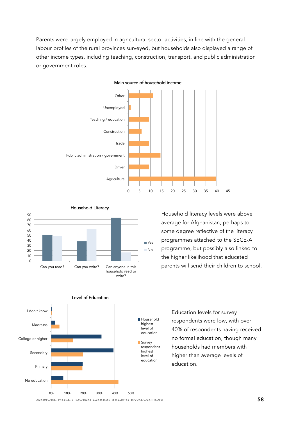Parents were largely employed in agricultural sector activities, in line with the general labour profiles of the rural provinces surveyed, but households also displayed a range of other income types, including teaching, construction, transport, and public administration or government roles.



Main source of household income

#### Household Literacy



Household literacy levels were above average for Afghanistan, perhaps to some degree reflective of the literacy programmes attached to the SECE-A programme, but possibly also linked to the higher likelihood that educated parents will send their children to school.



Education levels for survey respondents were low, with over 40% of respondents having received no formal education, though many households had members with higher than average levels of education.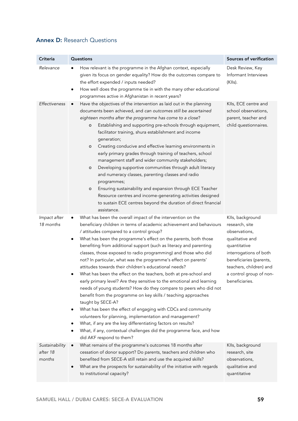# Annex D: Research Questions

| Criteria                             | Questions                                                                                                                                                                                                                                                                                                                                                                                                                                                                                                                                                                                                                                                                                                                                                                                                                                                                                                                                                                                                                                                                                                                          | Sources of verification                                                                                                                                                                                             |
|--------------------------------------|------------------------------------------------------------------------------------------------------------------------------------------------------------------------------------------------------------------------------------------------------------------------------------------------------------------------------------------------------------------------------------------------------------------------------------------------------------------------------------------------------------------------------------------------------------------------------------------------------------------------------------------------------------------------------------------------------------------------------------------------------------------------------------------------------------------------------------------------------------------------------------------------------------------------------------------------------------------------------------------------------------------------------------------------------------------------------------------------------------------------------------|---------------------------------------------------------------------------------------------------------------------------------------------------------------------------------------------------------------------|
| Relevance                            | How relevant is the programme in the Afghan context, especially<br>given its focus on gender equality? How do the outcomes compare to<br>the effort expended / inputs needed?<br>How well does the programme tie in with the many other educational<br>٠<br>programmes active in Afghanistan in recent years?                                                                                                                                                                                                                                                                                                                                                                                                                                                                                                                                                                                                                                                                                                                                                                                                                      | Desk Review, Key<br>Informant Interviews<br>(KIIs).                                                                                                                                                                 |
| Effectiveness                        | Have the objectives of the intervention as laid out in the planning<br>documents been achieved, and can outcomes still be ascertained<br>eighteen months after the programme has come to a close?<br>Establishing and supporting pre-schools through equipment,<br>о<br>facilitator training, shura establishment and income<br>generation;<br>Creating conducive and effective learning environments in<br>o<br>early primary grades through training of teachers, school<br>management staff and wider community stakeholders;<br>Developing supportive communities through adult literacy<br>o<br>and numeracy classes, parenting classes and radio<br>programmes;<br>Ensuring sustainability and expansion through ECE Teacher<br>о<br>Resource centres and income-generating activities designed<br>to sustain ECE centres beyond the duration of direct financial<br>assistance.                                                                                                                                                                                                                                             | KIIs, ECE centre and<br>school observations,<br>parent, teacher and<br>child questionnaires.                                                                                                                        |
| Impact after<br>18 months            | What has been the overall impact of the intervention on the<br>beneficiary children in terms of academic achievement and behaviours<br>/ attitudes compared to a control group?<br>What has been the programme's effect on the parents, both those<br>benefiting from additional support (such as literacy and parenting<br>classes, those exposed to radio programming) and those who did<br>not? In particular, what was the programme's effect on parents'<br>attitudes towards their children's educational needs?<br>What has been the effect on the teachers, both at pre-school and<br>early primary level? Are they sensitive to the emotional and learning<br>needs of young students? How do they compare to peers who did not<br>benefit from the programme on key skills / teaching approaches<br>taught by SECE-A?<br>What has been the effect of engaging with CDCs and community<br>volunteers for planning, implementation and management?<br>What, if any are the key differentiating factors on results?<br>What, if any, contextual challenges did the programme face, and how<br>٠<br>did AKF respond to them? | Klls, background<br>research, site<br>observations,<br>qualitative and<br>quantitative<br>interrogations of both<br>beneficiaries (parents,<br>teachers, children) and<br>a control group of non-<br>beneficiaries. |
| Sustainability<br>after 18<br>months | What remains of the programme's outcomes 18 months after<br>$\bullet$<br>cessation of donor support? Do parents, teachers and children who<br>benefited from SECE-A still retain and use the acquired skills?<br>What are the prospects for sustainability of the initiative with regards<br>$\bullet$<br>to institutional capacity?                                                                                                                                                                                                                                                                                                                                                                                                                                                                                                                                                                                                                                                                                                                                                                                               | Klls, background<br>research, site<br>observations,<br>qualitative and<br>quantitative                                                                                                                              |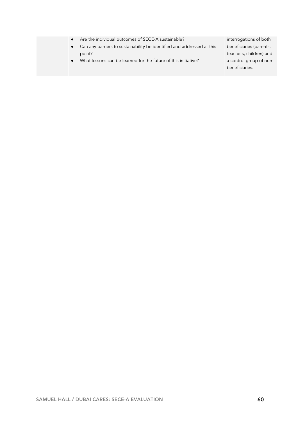|  |  | $\blacksquare$ Are the individual outcomes of SECE-A sustainable? $\blacksquare$ |
|--|--|----------------------------------------------------------------------------------|
|--|--|----------------------------------------------------------------------------------|

- Can any barriers to sustainability be identified and addressed at this point?
- What lessons can be learned for the future of this initiative?

interrogations of both beneficiaries (parents, teachers, children) and a control group of nonbeneficiaries.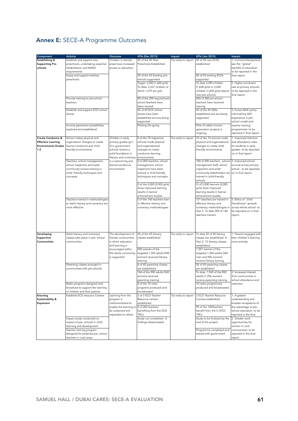# Annex E: SECE-A Programme Outcomes

| Component                     | <b>Activity</b>                    | Outcome                | <b>KPIs (Dec 2013)</b>       | Impact              | <b>KPIs (Jan 2015)</b>        | Impact                                 |
|-------------------------------|------------------------------------|------------------------|------------------------------|---------------------|-------------------------------|----------------------------------------|
| Establishing &                | Establish and support new          | Children in remote     | 45 of the 45 New             | Too early to report | 45 of 45 new ECDs             |                                        |
|                               |                                    |                        |                              |                     |                               | 1. Communities/parents                 |
| <b>Supporting Pre-</b>        | preschools, undertaking essential  | areas have increased   | Preschools Established       |                     | established                   | see the "global"                       |
| schools                       | rehabilitation and WASH            | access to education    |                              |                     |                               | benefits of education-                 |
|                               | requirements                       |                        |                              |                     |                               | to be reported in the                  |
|                               | Equip and support existing         |                        | 55 of the 55 Existing pre-   |                     | 55 of 55 existing ECDs        | final report.                          |
|                               | preschools                         |                        | schools supported            |                     | supported                     |                                        |
|                               |                                    |                        | Target: 3,200 (1,600 girls)  |                     | To date 4,294 children        | 2. Higher enrolment                    |
|                               |                                    |                        | To date: 2,227 children of   |                     | (1,658 girls) or 3,200        | rate at primary schools-               |
|                               |                                    |                        | which 1,219 are girls        |                     | children (1,600 girls) attend | to be reported in the                  |
|                               |                                    |                        |                              |                     | new pre-schools.              | final report.                          |
|                               | Provide training to pre-school     |                        | 90 of the 200 required pre-  |                     | 200 of 200 pre-school         |                                        |
|                               | teachers                           |                        | school teachers have         |                     | teachers have received        |                                        |
|                               |                                    |                        | been trained.                |                     | training                      |                                        |
|                               | Establish and support ECD school   |                        | 42 of 45 ECD school          |                     | 42 of the 45 SSAs             | 3, Future MoE policy                   |
|                               | shuras                             |                        | shuras have been             |                     | established and are being     | informed by AKF                        |
|                               |                                    |                        | established and are being    |                     |                               |                                        |
|                               |                                    |                        |                              |                     | supported                     | experience in pre-<br>school model and |
|                               |                                    |                        | supported                    |                     |                               |                                        |
|                               | Income generation possibilities    |                        | Piloting On-going            |                     | Pilot of viable income        | teacher training                       |
|                               | explored and established           |                        |                              |                     | generation projects is        | programmes- to be                      |
|                               |                                    |                        |                              |                     | ongoing.                      | reported in final report.              |
| <b>Create Conducive &amp;</b> | School makes physical and          | Children in early      | 0 of the 70 respective       | Too early to report | 70 of the 70 schools made     | 1. Improved retention                  |
| <b>Effective Learning</b>     | organization changes to create     | primary grades (gr1-   | schools made physical        |                     | physical and organisational   | and attendance rates                   |
| <b>Environments Grades</b>    | learner-conducive and child        | 2) in government       | and organizational           |                     | changes to create child       | for students in early                  |
| $1 - 2$                       | friendly environments              | schools receive a      | changes to create            |                     | friendly environments.        | grades- to be reported                 |
|                               |                                    | solid foundation in    | conducive learning           |                     |                               | on in final report.                    |
|                               |                                    | literacy and numeracy  | environments                 |                     |                               |                                        |
|                               | Teachers, school management,       |                        | 0 of 200 teachers, school    |                     | 180 of 200 teachers, school   |                                        |
|                               |                                    | in a welcoming and     |                              |                     |                               | 2. Improved school                     |
|                               | school inspectors and wider        | learner-conducive      | management, school           |                     | management staff, school      | survival across primary                |
|                               | community receive training in      | environment.           | inspectors have been         |                     | inspectors and wider          | school - to be reported                |
|                               | child-friendly techniques and      |                        | trained in child friendly    |                     | community stakeholders are    | on in final report.                    |
|                               | concepts                           |                        | techniques and concepts      |                     | trained in child-friendly     |                                        |
|                               |                                    |                        |                              |                     | schools                       |                                        |
|                               |                                    |                        | 0 of the 5,000 (2,000 girls) |                     | O of 5,000 learners (2,000    |                                        |
|                               |                                    |                        | show improved learning       |                     | girls) show improved          |                                        |
|                               |                                    |                        | results in learner           |                     | learning results in learner   |                                        |
|                               |                                    |                        | achievement studies          |                     | achievement studies           |                                        |
|                               | Teachers trained in methodologies  |                        | 0 of the 140 teachers train  |                     | 121 teachers are trained in   | 3. Ethos of "child                     |
|                               | to teach literacy and numeracy are |                        | in effective literacy and    |                     | effective literacy and        | friendliness" spreads                  |
|                               | more effective                     |                        | numeracy methodologies       |                     | numeracy methodologies in     | across whole school- to                |
|                               |                                    |                        |                              |                     | Year 2. To date 289 of 140    | be reported on in final                |
|                               |                                    |                        |                              |                     | teachers trained              |                                        |
|                               |                                    |                        |                              |                     |                               | report.                                |
|                               |                                    |                        |                              |                     |                               |                                        |
|                               |                                    |                        |                              |                     |                               |                                        |
|                               |                                    |                        |                              |                     |                               |                                        |
| Developing                    | Adult literacy and numeracy        | The development of     | 45 of the 45 literacy        | Too early to report | To date 55 of 45 literacy     | 1. Parents engaged with                |
| Supportive                    | classes take place in pre- school  | literate communities   | classes established          |                     | classes are established. In   | their children's learning              |
| Communities                   | communities                        | in which education     |                              |                     | Year 2, 15 literacy classes   |                                        |
|                               |                                    |                        |                              |                     |                               | more actively.                         |
|                               |                                    | and learning is        |                              |                     | established.                  |                                        |
|                               |                                    | encouraged within      | 200 women of the             |                     | 1,257 women of the            |                                        |
|                               |                                    | the whole community    | targeted 1,350 adults (945   |                     | targeted 1,350 adults (360    |                                        |
|                               |                                    | is supported           | women) received literacy     |                     | men and 945 women)            |                                        |
|                               |                                    |                        | training                     |                     | receive literacy training     |                                        |
|                               | Parenting classes arranged in      |                        | 6 of 45 parenting classes    |                     | 56 of 45 parenting classes    |                                        |
|                               | communities with pre-schools       |                        | are established              |                     | are established               |                                        |
|                               |                                    |                        | 106 of the 900 adults (540   |                     | To date, 1,969 of the 900     | 2. Increased interest                  |
|                               |                                    |                        | women) received              |                     | adults (1,296 women)          | from communities in                    |
|                               |                                    |                        | parenting training           |                     | receive parenting training.   | school attendance and                  |
|                               | Radio programs designed and        |                        | 0 of the 10 radio            |                     | 10 radio programmes           | retention.                             |
|                               | broadcast to support the learning  |                        | programs produced and        |                     | produced and broadcasted.     |                                        |
|                               | of children and their parents      |                        | broadcasted                  |                     |                               |                                        |
| Ensuring                      | Establish ECD resource Centers     | Learning from the      | 2 of 2 ECD Teacher           | Too early to report | 2 ECD Teacher Resource        | 1. A greater                           |
| Sustainability &              |                                    | program is             | Resource centers             |                     | Centres established           | understanding and                      |
| Expansion                     |                                    | institutionalized to   | established                  |                     |                               | broader acceptance of                  |
|                               |                                    | enable the learning to | 0 of 200 teachers            |                     | 99 of the 100Teachers         | the advantage of pre-                  |
|                               |                                    |                        | benefiting from the ECD      |                     | benefit from the C+ECD        |                                        |
|                               |                                    | be sustained and       |                              |                     |                               | school education- to be                |
|                               |                                    | expanded to others     | <b>TRCs</b>                  |                     | <b>TRCs</b>                   | reported in the final                  |
|                               | Impact study conducted on          |                        | Study not completed - 0      |                     | Study to be finalised by the  | 2. Greater work                        |
|                               | impact of pre- schools in child    |                        | findings disseminated        |                     | end of the project.           | opportunities for                      |
|                               | learning and development           |                        |                              |                     |                               | women in rural                         |
|                               | Teacher training program           |                        |                              |                     | Programme completed and       | communities- to be                     |
|                               | designed for potential pre- school |                        |                              |                     | shared with government        | reported in the final                  |
|                               | teachers in rural areas            |                        |                              |                     |                               | report.                                |